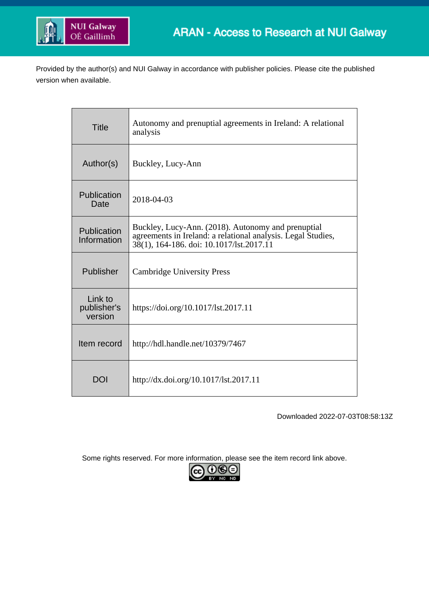

Provided by the author(s) and NUI Galway in accordance with publisher policies. Please cite the published version when available.

| <b>Title</b>                      | Autonomy and prenuptial agreements in Ireland: A relational<br>analysis                                                                                        |
|-----------------------------------|----------------------------------------------------------------------------------------------------------------------------------------------------------------|
| Author(s)                         | Buckley, Lucy-Ann                                                                                                                                              |
| Publication<br>Date               | 2018-04-03                                                                                                                                                     |
| Publication<br>Information        | Buckley, Lucy-Ann. (2018). Autonomy and prenuptial<br>agreements in Ireland: a relational analysis. Legal Studies,<br>38(1), 164-186. doi: 10.1017/lst.2017.11 |
| Publisher                         | <b>Cambridge University Press</b>                                                                                                                              |
| Link to<br>publisher's<br>version | https://doi.org/10.1017/lst.2017.11                                                                                                                            |
| Item record                       | http://hdl.handle.net/10379/7467                                                                                                                               |
| <b>DOI</b>                        | http://dx.doi.org/10.1017/lst.2017.11                                                                                                                          |

Downloaded 2022-07-03T08:58:13Z

Some rights reserved. For more information, please see the item record link above.

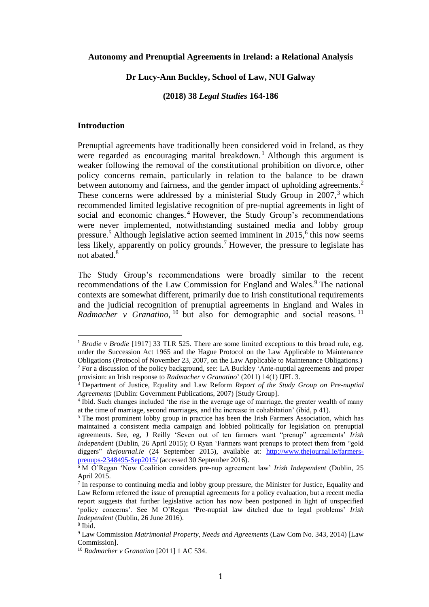#### **Autonomy and Prenuptial Agreements in Ireland: a Relational Analysis**

#### **Dr Lucy-Ann Buckley, School of Law, NUI Galway**

#### <span id="page-1-3"></span><span id="page-1-1"></span><span id="page-1-0"></span>**(2018) 38** *Legal Studies* **164-186**

#### **Introduction**

Prenuptial agreements have traditionally been considered void in Ireland, as they were regarded as encouraging marital breakdown.<sup>1</sup> Although this argument is weaker following the removal of the constitutional prohibition on divorce, other policy concerns remain, particularly in relation to the balance to be drawn between autonomy and fairness, and the gender impact of upholding agreements.<sup>2</sup> These concerns were addressed by a ministerial Study Group in 2007,<sup>3</sup> which recommended limited legislative recognition of pre-nuptial agreements in light of social and economic changes.<sup>4</sup> However, the Study Group's recommendations were never implemented, notwithstanding sustained media and lobby group pressure.<sup>5</sup> Although legislative action seemed imminent in 2015,<sup>6</sup> this now seems less likely, apparently on policy grounds. <sup>7</sup> However, the pressure to legislate has not abated.<sup>8</sup>

<span id="page-1-2"></span>The Study Group's recommendations were broadly similar to the recent recommendations of the Law Commission for England and Wales.<sup>9</sup> The national contexts are somewhat different, primarily due to Irish constitutional requirements and the judicial recognition of prenuptial agreements in England and Wales in *Radmacher v Granatino*, <sup>10</sup> but also for demographic and social reasons.<sup>11</sup>

<sup>&</sup>lt;sup>1</sup> *Brodie v Brodie* [1917] 33 TLR 525. There are some limited exceptions to this broad rule, e.g. under the Succession Act 1965 and the Hague Protocol on the Law Applicable to Maintenance Obligations (Protocol of November 23, 2007, on the Law Applicable to Maintenance Obligations.) <sup>2</sup> For a discussion of the policy background, see: LA Buckley 'Ante-nuptial agreements and proper provision: an Irish response to *Radmacher v Granatino*' (2011) 14(1) IJFL 3.<br>
<sup>3</sup> Department of *Juniary Common Service 2011* 

<sup>3</sup> Department of Justice, Equality and Law Reform *Report of the Study Group on Pre-nuptial Agreements* (Dublin: Government Publications, 2007) [Study Group].

<sup>&</sup>lt;sup>4</sup> Ibid. Such changes included 'the rise in the average age of marriage, the greater wealth of many at the time of marriage, second marriages, and the increase in cohabitation' (ibid, p 41).

<sup>&</sup>lt;sup>5</sup> The most prominent lobby group in practice has been the Irish Farmers Association, which has maintained a consistent media campaign and lobbied politically for legislation on prenuptial agreements. See, eg, J Reilly 'Seven out of ten farmers want "prenup" agreements' *Irish Independent* (Dublin, 26 April 2015); O Ryan 'Farmers want prenups to protect them from "gold diggers" *thejournal.ie* (24 September 2015), available at: [http://www.thejournal.ie/farmers](http://www.thejournal.ie/farmers-prenups-2348495-Sep2015/)[prenups-2348495-Sep2015/](http://www.thejournal.ie/farmers-prenups-2348495-Sep2015/) (accessed 30 September 2016).

<sup>6</sup> M O'Regan 'Now Coalition considers pre-nup agreement law' *Irish Independent* (Dublin, 25 April 2015.

<sup>7</sup> In response to continuing media and lobby group pressure, the Minister for Justice, Equality and Law Reform referred the issue of prenuptial agreements for a policy evaluation, but a recent media report suggests that further legislative action has now been postponed in light of unspecified 'policy concerns'. See M O'Regan 'Pre-nuptial law ditched due to legal problems' *Irish Independent* (Dublin, 26 June 2016).

<sup>8</sup> Ibid.

<sup>9</sup> Law Commission *Matrimonial Property, Needs and Agreements* (Law Com No. 343, 2014) [Law Commission].

<sup>10</sup> *Radmacher v Granatino* [2011] 1 AC 534.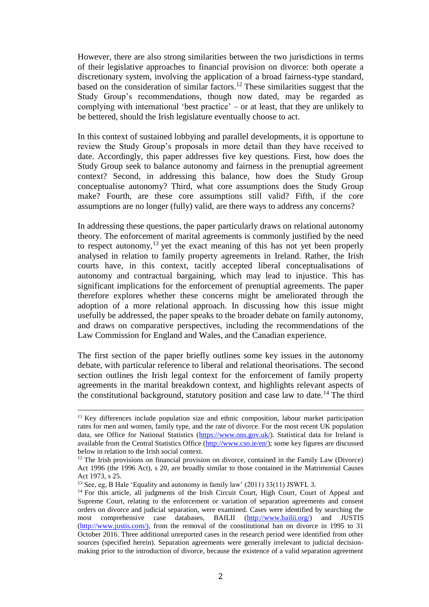However, there are also strong similarities between the two jurisdictions in terms of their legislative approaches to financial provision on divorce: both operate a discretionary system, involving the application of a broad fairness-type standard, based on the consideration of similar factors.<sup>12</sup> These similarities suggest that the Study Group's recommendations, though now dated, may be regarded as complying with international 'best practice' – or at least, that they are unlikely to be bettered, should the Irish legislature eventually choose to act.

In this context of sustained lobbying and parallel developments, it is opportune to review the Study Group's proposals in more detail than they have received to date. Accordingly, this paper addresses five key questions. First, how does the Study Group seek to balance autonomy and fairness in the prenuptial agreement context? Second, in addressing this balance, how does the Study Group conceptualise autonomy? Third, what core assumptions does the Study Group make? Fourth, are these core assumptions still valid? Fifth, if the core assumptions are no longer (fully) valid, are there ways to address any concerns?

In addressing these questions, the paper particularly draws on relational autonomy theory. The enforcement of marital agreements is commonly justified by the need to respect autonomy, $^{13}$  yet the exact meaning of this has not yet been properly analysed in relation to family property agreements in Ireland. Rather, the Irish courts have, in this context, tacitly accepted liberal conceptualisations of autonomy and contractual bargaining, which may lead to injustice. This has significant implications for the enforcement of prenuptial agreements. The paper therefore explores whether these concerns might be ameliorated through the adoption of a more relational approach. In discussing how this issue might usefully be addressed, the paper speaks to the broader debate on family autonomy, and draws on comparative perspectives, including the recommendations of the Law Commission for England and Wales, and the Canadian experience.

The first section of the paper briefly outlines some key issues in the autonomy debate, with particular reference to liberal and relational theorisations. The second section outlines the Irish legal context for the enforcement of family property agreements in the marital breakdown context, and highlights relevant aspects of the constitutional background, statutory position and case law to date.<sup>14</sup> The third

<sup>&</sup>lt;sup>11</sup> Key differences include population size and ethnic composition, labour market participation rates for men and women, family type, and the rate of divorce. For the most recent UK population data, see Office for National Statistics [\(https://www.ons.gov.uk/\)](https://www.ons.gov.uk/). Statistical data for Ireland is available from the Central Statistics Office [\(http://www.cso.ie/en/\)](http://www.cso.ie/en/); some key figures are discussed below in relation to the Irish social context.

<sup>&</sup>lt;sup>12</sup> The Irish provisions on financial provision on divorce, contained in the Family Law (Divorce) Act 1996 (the 1996 Act), s 20, are broadly similar to those contained in the Matrimonial Causes Act 1973, s 25.

<sup>&</sup>lt;sup>13</sup> See, eg, B Hale 'Equality and autonomy in family law' (2011) 33(11) JSWFL 3.

<sup>&</sup>lt;sup>14</sup> For this article, all judgments of the Irish Circuit Court, High Court, Court of Appeal and Supreme Court, relating to the enforcement or variation of separation agreements and consent orders on divorce and judicial separation, were examined. Cases were identified by searching the most comprehensive case databases, BAILII [\(http://www.bailii.org/\)](http://www.bailii.org/) and JUSTIS  $(\frac{http://www.justis.com/)}{http://www.justis.com/)}$ , from the removal of the constitutional ban on divorce in 1995 to 31 October 2016. Three additional unreported cases in the research period were identified from other sources (specified herein). Separation agreements were generally irrelevant to judicial decisionmaking prior to the introduction of divorce, because the existence of a valid separation agreement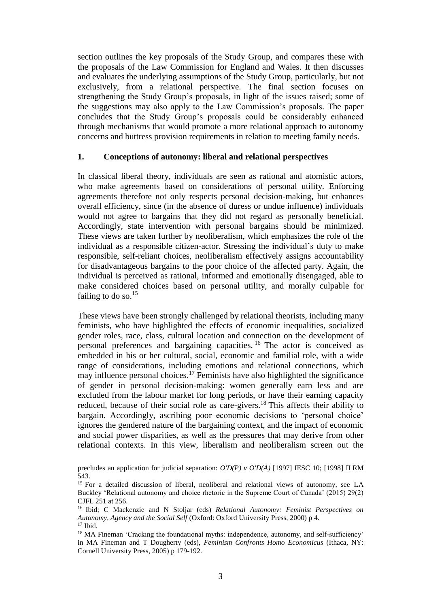section outlines the key proposals of the Study Group, and compares these with the proposals of the Law Commission for England and Wales. It then discusses and evaluates the underlying assumptions of the Study Group, particularly, but not exclusively, from a relational perspective. The final section focuses on strengthening the Study Group's proposals, in light of the issues raised; some of the suggestions may also apply to the Law Commission's proposals. The paper concludes that the Study Group's proposals could be considerably enhanced through mechanisms that would promote a more relational approach to autonomy concerns and buttress provision requirements in relation to meeting family needs.

## **1. Conceptions of autonomy: liberal and relational perspectives**

In classical liberal theory, individuals are seen as rational and atomistic actors, who make agreements based on considerations of personal utility. Enforcing agreements therefore not only respects personal decision-making, but enhances overall efficiency, since (in the absence of duress or undue influence) individuals would not agree to bargains that they did not regard as personally beneficial. Accordingly, state intervention with personal bargains should be minimized. These views are taken further by neoliberalism, which emphasizes the role of the individual as a responsible citizen-actor. Stressing the individual's duty to make responsible, self-reliant choices, neoliberalism effectively assigns accountability for disadvantageous bargains to the poor choice of the affected party. Again, the individual is perceived as rational, informed and emotionally disengaged, able to make considered choices based on personal utility, and morally culpable for failing to do so. $15$ 

<span id="page-3-0"></span>These views have been strongly challenged by relational theorists, including many feminists, who have highlighted the effects of economic inequalities, socialized gender roles, race, class, cultural location and connection on the development of personal preferences and bargaining capacities. <sup>16</sup> The actor is conceived as embedded in his or her cultural, social, economic and familial role, with a wide range of considerations, including emotions and relational connections, which may influence personal choices.<sup>17</sup> Feminists have also highlighted the significance of gender in personal decision-making: women generally earn less and are excluded from the labour market for long periods, or have their earning capacity reduced, because of their social role as care-givers.<sup>18</sup> This affects their ability to bargain. Accordingly, ascribing poor economic decisions to 'personal choice' ignores the gendered nature of the bargaining context, and the impact of economic and social power disparities, as well as the pressures that may derive from other relational contexts. In this view, liberalism and neoliberalism screen out the

precludes an application for judicial separation: *O'D(P) v O'D(A)* [1997] IESC 10; [1998] ILRM 543.

<sup>&</sup>lt;sup>15</sup> For a detailed discussion of liberal, neoliberal and relational views of autonomy, see LA Buckley 'Relational autonomy and choice rhetoric in the Supreme Court of Canada' (2015) 29(2) CJFL 251 at 256.

<sup>16</sup> Ibid; C Mackenzie and N Stoljar (eds) *Relational Autonomy: Feminist Perspectives on Autonomy, Agency and the Social Self* (Oxford: Oxford University Press, 2000) p 4. <sup>17</sup> Ibid.

<sup>&</sup>lt;sup>18</sup> MA Fineman 'Cracking the foundational myths: independence, autonomy, and self-sufficiency' in MA Fineman and T Dougherty (eds), *Feminism Confronts Homo Economicus* (Ithaca, NY: Cornell University Press, 2005) p 179-192.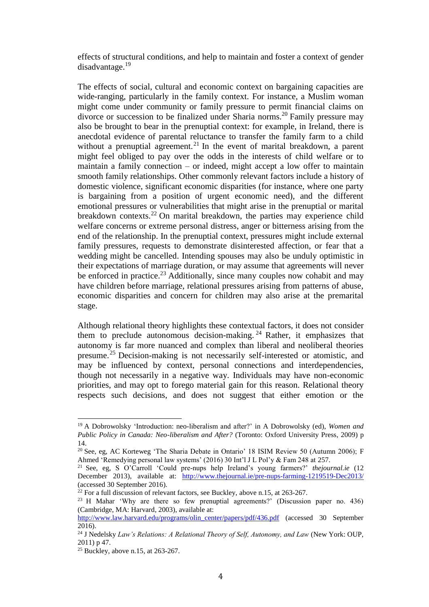effects of structural conditions, and help to maintain and foster a context of gender disadvantage.<sup>19</sup>

The effects of social, cultural and economic context on bargaining capacities are wide-ranging, particularly in the family context. For instance, a Muslim woman might come under community or family pressure to permit financial claims on divorce or succession to be finalized under Sharia norms. <sup>20</sup> Family pressure may also be brought to bear in the prenuptial context: for example, in Ireland, there is anecdotal evidence of parental reluctance to transfer the family farm to a child without a prenuptial agreement.<sup>21</sup> In the event of marital breakdown, a parent might feel obliged to pay over the odds in the interests of child welfare or to maintain a family connection – or indeed, might accept a low offer to maintain smooth family relationships. Other commonly relevant factors include a history of domestic violence, significant economic disparities (for instance, where one party is bargaining from a position of urgent economic need), and the different emotional pressures or vulnerabilities that might arise in the prenuptial or marital breakdown contexts.<sup>22</sup> On marital breakdown, the parties may experience child welfare concerns or extreme personal distress, anger or bitterness arising from the end of the relationship. In the prenuptial context, pressures might include external family pressures, requests to demonstrate disinterested affection, or fear that a wedding might be cancelled. Intending spouses may also be unduly optimistic in their expectations of marriage duration, or may assume that agreements will never be enforced in practice.<sup>23</sup> Additionally, since many couples now cohabit and may have children before marriage, relational pressures arising from patterns of abuse, economic disparities and concern for children may also arise at the premarital stage.

Although relational theory highlights these contextual factors, it does not consider them to preclude autonomous decision-making.<sup>24</sup> Rather, it emphasizes that autonomy is far more nuanced and complex than liberal and neoliberal theories presume.<sup>25</sup> Decision-making is not necessarily self-interested or atomistic, and may be influenced by context, personal connections and interdependencies, though not necessarily in a negative way. Individuals may have non-economic priorities, and may opt to forego material gain for this reason. Relational theory respects such decisions, and does not suggest that either emotion or the

<sup>19</sup> A Dobrowolsky 'Introduction: neo-liberalism and after?' in A Dobrowolsky (ed), *Women and Public Policy in Canada: Neo-liberalism and After?* (Toronto: Oxford University Press, 2009) p 14.

<sup>&</sup>lt;sup>20</sup> See, eg, AC Korteweg 'The Sharia Debate in Ontario' 18 ISIM Review 50 (Autumn 2006); F Ahmed 'Remedying personal law systems' (2016) 30 Int'l J L Pol'y & Fam 248 at 257.

<sup>21</sup> See, eg, S O'Carroll 'Could pre-nups help Ireland's young farmers?' *thejournal.ie* (12 December 2013), available at: <http://www.thejournal.ie/pre-nups-farming-1219519-Dec2013/> (accessed 30 September 2016).

 $22$  For a full discussion of relevant factors, see Buckley, above n[.15,](#page-3-0) at 263-267.

<sup>23</sup> H Mahar 'Why are there so few prenuptial agreements?' (Discussion paper no. 436) (Cambridge, MA: Harvard, 2003), available at:

[http://www.law.harvard.edu/programs/olin\\_center/papers/pdf/436.pdf](http://www.law.harvard.edu/programs/olin_center/papers/pdf/436.pdf) (accessed 30 September 2016).

<sup>&</sup>lt;sup>24</sup> J Nedelsky *Law's Relations: A Relational Theory of Self, Autonomy, and Law* (New York: OUP, 2011) p 47.

<sup>25</sup> Buckley, above n[.15,](#page-3-0) at 263-267.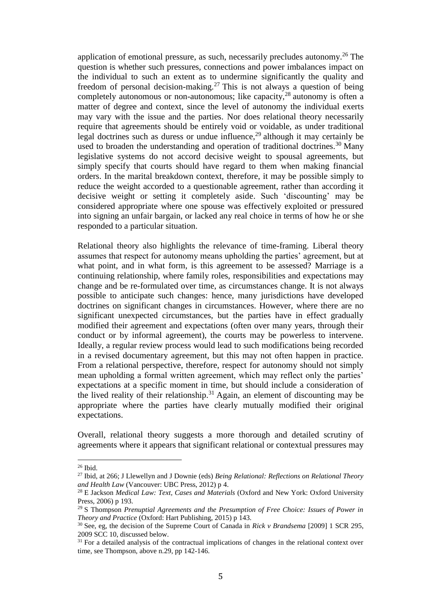<span id="page-5-0"></span>application of emotional pressure, as such, necessarily precludes autonomy.<sup>26</sup> The question is whether such pressures, connections and power imbalances impact on the individual to such an extent as to undermine significantly the quality and freedom of personal decision-making.<sup>27</sup> This is not always a question of being completely autonomous or non-autonomous; like capacity,<sup>28</sup> autonomy is often a matter of degree and context, since the level of autonomy the individual exerts may vary with the issue and the parties. Nor does relational theory necessarily require that agreements should be entirely void or voidable, as under traditional legal doctrines such as duress or undue influence, $2<sup>9</sup>$  although it may certainly be used to broaden the understanding and operation of traditional doctrines.<sup>30</sup> Many legislative systems do not accord decisive weight to spousal agreements, but simply specify that courts should have regard to them when making financial orders. In the marital breakdown context, therefore, it may be possible simply to reduce the weight accorded to a questionable agreement, rather than according it decisive weight or setting it completely aside. Such 'discounting' may be considered appropriate where one spouse was effectively exploited or pressured into signing an unfair bargain, or lacked any real choice in terms of how he or she responded to a particular situation.

Relational theory also highlights the relevance of time-framing. Liberal theory assumes that respect for autonomy means upholding the parties' agreement, but at what point, and in what form, is this agreement to be assessed? Marriage is a continuing relationship, where family roles, responsibilities and expectations may change and be re-formulated over time, as circumstances change. It is not always possible to anticipate such changes: hence, many jurisdictions have developed doctrines on significant changes in circumstances. However, where there are no significant unexpected circumstances, but the parties have in effect gradually modified their agreement and expectations (often over many years, through their conduct or by informal agreement), the courts may be powerless to intervene. Ideally, a regular review process would lead to such modifications being recorded in a revised documentary agreement, but this may not often happen in practice. From a relational perspective, therefore, respect for autonomy should not simply mean upholding a formal written agreement, which may reflect only the parties' expectations at a specific moment in time, but should include a consideration of the lived reality of their relationship.<sup>31</sup> Again, an element of discounting may be appropriate where the parties have clearly mutually modified their original expectations.

Overall, relational theory suggests a more thorough and detailed scrutiny of agreements where it appears that significant relational or contextual pressures may

 $26$  Ibid.

<sup>27</sup> Ibid, at 266; J Llewellyn and J Downie (eds) *Being Relational: Reflections on Relational Theory and Health Law* (Vancouver: UBC Press, 2012) p 4.

<sup>28</sup> E Jackson *Medical Law: Text, Cases and Materials* (Oxford and New York: Oxford University Press, 2006) p 193.

<sup>29</sup> S Thompson *Prenuptial Agreements and the Presumption of Free Choice: Issues of Power in Theory and Practice* (Oxford: Hart Publishing, 2015) p 143.

<sup>30</sup> See, eg, the decision of the Supreme Court of Canada in *Rick v Brandsema* [2009] 1 SCR 295, 2009 SCC 10, discussed below.

 $31$  For a detailed analysis of the contractual implications of changes in the relational context over time, see Thompson, above n[.29,](#page-5-0) pp 142-146.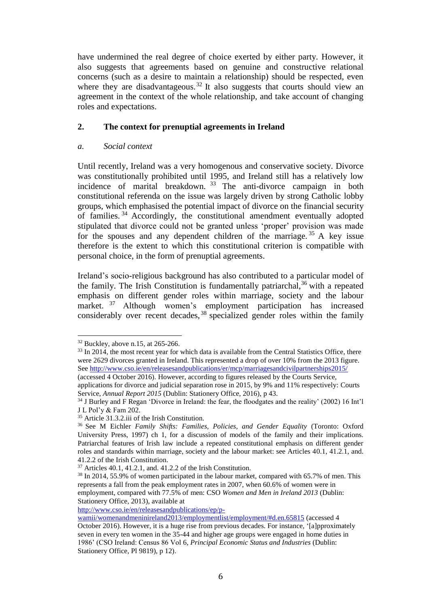have undermined the real degree of choice exerted by either party. However, it also suggests that agreements based on genuine and constructive relational concerns (such as a desire to maintain a relationship) should be respected, even where they are disadvantageous.<sup>32</sup> It also suggests that courts should view an agreement in the context of the whole relationship, and take account of changing roles and expectations.

# **2. The context for prenuptial agreements in Ireland**

# *a. Social context*

<span id="page-6-0"></span>Until recently, Ireland was a very homogenous and conservative society. Divorce was constitutionally prohibited until 1995, and Ireland still has a relatively low incidence of marital breakdown.<sup>33</sup> The anti-divorce campaign in both constitutional referenda on the issue was largely driven by strong Catholic lobby groups, which emphasised the potential impact of divorce on the financial security of families.<sup>34</sup> Accordingly, the constitutional amendment eventually adopted stipulated that divorce could not be granted unless 'proper' provision was made for the spouses and any dependent children of the marriage.<sup>35</sup> A key issue therefore is the extent to which this constitutional criterion is compatible with personal choice, in the form of prenuptial agreements.

Ireland's socio-religious background has also contributed to a particular model of the family. The Irish Constitution is fundamentally patriarchal,  $36$  with a repeated emphasis on different gender roles within marriage, society and the labour market. <sup>37</sup> Although women's employment participation has increased considerably over recent decades,<sup>38</sup> specialized gender roles within the family

[http://www.cso.ie/en/releasesandpublications/ep/p-](http://www.cso.ie/en/releasesandpublications/ep/p-wamii/womenandmeninireland2013/employmentlist/employment/#d.en.65815)

 $\overline{a}$  $32$  Buckley, above n[.15,](#page-3-0) at 265-266.

<sup>&</sup>lt;sup>33</sup> In 2014, the most recent year for which data is available from the Central Statistics Office, there were 2629 divorces granted in Ireland. This represented a drop of over 10% from the 2013 figure. See <http://www.cso.ie/en/releasesandpublications/er/mcp/marriagesandcivilpartnerships2015/> (accessed 4 October 2016). However, according to figures released by the Courts Service,

applications for divorce and judicial separation rose in 2015, by 9% and 11% respectively: Courts Service, *Annual Report 2015* (Dublin: Stationery Office, 2016), p 43.

<sup>34</sup> J Burley and F Regan 'Divorce in Ireland: the fear, the floodgates and the reality' (2002) 16 Int'l J L Pol'y & Fam 202.

<sup>35</sup> Article 31.3.2.iii of the Irish Constitution.

<sup>36</sup> See M Eichler *Family Shifts: Families, Policies, and Gender Equality* (Toronto: Oxford University Press, 1997) ch 1, for a discussion of models of the family and their implications. Patriarchal features of Irish law include a repeated constitutional emphasis on different gender roles and standards within marriage, society and the labour market: see Articles 40.1, 41.2.1, and. 41.2.2 of the Irish Constitution.

<sup>37</sup> Articles 40.1, 41.2.1, and. 41.2.2 of the Irish Constitution.

<sup>38</sup> In 2014, 55.9% of women participated in the labour market, compared with 65.7% of men. This represents a fall from the peak employment rates in 2007, when 60.6% of women were in employment, compared with 77.5% of men: CSO *Women and Men in Ireland 2013* (Dublin: Stationery Office, 2013), available at

[wamii/womenandmeninireland2013/employmentlist/employment/#d.en.65815](http://www.cso.ie/en/releasesandpublications/ep/p-wamii/womenandmeninireland2013/employmentlist/employment/#d.en.65815) (accessed 4 October 2016). However, it is a huge rise from previous decades. For instance, '[a]pproximately seven in every ten women in the 35-44 and higher age groups were engaged in home duties in 1986' (CSO Ireland: Census 86 Vol 6, *Principal Economic Status and Industries* (Dublin: Stationery Office, Pl 9819), p 12).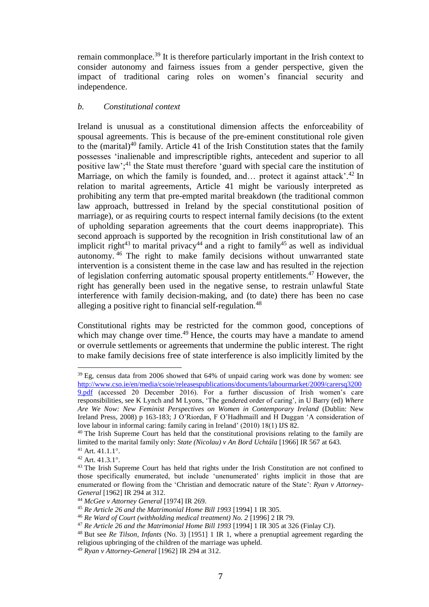remain commonplace.<sup>39</sup> It is therefore particularly important in the Irish context to consider autonomy and fairness issues from a gender perspective, given the impact of traditional caring roles on women's financial security and independence.

# *b. Constitutional context*

Ireland is unusual as a constitutional dimension affects the enforceability of spousal agreements. This is because of the pre-eminent constitutional role given to the (marital)<sup>40</sup> family. Article 41 of the Irish Constitution states that the family possesses 'inalienable and imprescriptible rights, antecedent and superior to all positive law';<sup>41</sup> the State must therefore 'guard with special care the institution of Marriage, on which the family is founded, and... protect it against attack'.<sup>42</sup> In relation to marital agreements, Article 41 might be variously interpreted as prohibiting any term that pre-empted marital breakdown (the traditional common law approach, buttressed in Ireland by the special constitutional position of marriage), or as requiring courts to respect internal family decisions (to the extent of upholding separation agreements that the court deems inappropriate). This second approach is supported by the recognition in Irish constitutional law of an implicit right<sup>43</sup> to marital privacy<sup>44</sup> and a right to family<sup>45</sup> as well as individual autonomy. <sup>46</sup> The right to make family decisions without unwarranted state intervention is a consistent theme in the case law and has resulted in the rejection of legislation conferring automatic spousal property entitlements.<sup>47</sup> However, the right has generally been used in the negative sense, to restrain unlawful State interference with family decision-making, and (to date) there has been no case alleging a positive right to financial self-regulation*.* 48

Constitutional rights may be restricted for the common good, conceptions of which may change over time.<sup>49</sup> Hence, the courts may have a mandate to amend or overrule settlements or agreements that undermine the public interest. The right to make family decisions free of state interference is also implicitly limited by the

 $39$  Eg, census data from 2006 showed that 64% of unpaid caring work was done by women: see [http://www.cso.ie/en/media/csoie/releasespublications/documents/labourmarket/2009/carersq3200](http://www.cso.ie/en/media/csoie/releasespublications/documents/labourmarket/2009/carersq32009.pdf) [9.pdf](http://www.cso.ie/en/media/csoie/releasespublications/documents/labourmarket/2009/carersq32009.pdf) (accessed 20 December 2016). For a further discussion of Irish women's care responsibilities, see K Lynch and M Lyons, 'The gendered order of caring', in U Barry (ed) *Where Are We Now: New Feminist Perspectives on Women in Contemporary Ireland* (Dublin: New Ireland Press, 2008) p 163-183; J O'Riordan, F O'Hadhmaill and H Duggan 'A consideration of love labour in informal caring: family caring in Ireland' (2010) 18(1) IJS 82.

<sup>&</sup>lt;sup>40</sup> The Irish Supreme Court has held that the constitutional provisions relating to the family are limited to the marital family only: *State (Nicolau) v An Bord Uchtála* [1966] IR 567 at 643.

<sup>&</sup>lt;sup>41</sup> Art. 41.1.1°.

 $42$  Art.  $41.3.1^{\circ}$ .

<sup>&</sup>lt;sup>43</sup> The Irish Supreme Court has held that rights under the Irish Constitution are not confined to those specifically enumerated, but include 'unenumerated' rights implicit in those that are enumerated or flowing from the 'Christian and democratic nature of the State': *Ryan v Attorney-General* [1962] IR 294 at 312.

<sup>44</sup> *McGee v Attorney General* [1974] IR 269.

<sup>45</sup> *Re Article 26 and the Matrimonial Home Bill 1993* [1994] 1 IR 305.

<sup>46</sup> *Re Ward of Court (withholding medical treatment) No. 2* [1996] 2 IR 79.

<sup>47</sup> *Re Article 26 and the Matrimonial Home Bill 1993* [1994] 1 IR 305 at 326 (Finlay CJ).

<sup>48</sup> But see *Re Tilson, Infants* (No. 3) [1951] 1 IR 1, where a prenuptial agreement regarding the religious upbringing of the children of the marriage was upheld.

<sup>49</sup> *Ryan v Attorney-General* [1962] IR 294 at 312.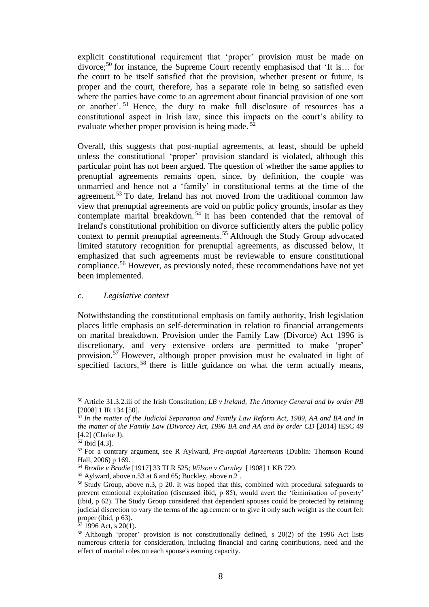explicit constitutional requirement that 'proper' provision must be made on divorce; <sup>50</sup> for instance, the Supreme Court recently emphasised that 'It is… for the court to be itself satisfied that the provision, whether present or future, is proper and the court, therefore, has a separate role in being so satisfied even where the parties have come to an agreement about financial provision of one sort or another'. <sup>51</sup> Hence, the duty to make full disclosure of resources has a constitutional aspect in Irish law, since this impacts on the court's ability to evaluate whether proper provision is being made.<sup>52</sup>

<span id="page-8-0"></span>Overall, this suggests that post-nuptial agreements, at least, should be upheld unless the constitutional 'proper' provision standard is violated, although this particular point has not been argued. The question of whether the same applies to prenuptial agreements remains open, since, by definition, the couple was unmarried and hence not a 'family' in constitutional terms at the time of the agreement.<sup>53</sup> To date, Ireland has not moved from the traditional common law view that prenuptial agreements are void on public policy grounds, insofar as they contemplate marital breakdown. <sup>54</sup> It has been contended that the removal of Ireland's constitutional prohibition on divorce sufficiently alters the public policy context to permit prenuptial agreements.<sup>55</sup> Although the Study Group advocated limited statutory recognition for prenuptial agreements, as discussed below, it emphasized that such agreements must be reviewable to ensure constitutional compliance.<sup>56</sup> However, as previously noted, these recommendations have not yet been implemented.

## *c. Legislative context*

Notwithstanding the constitutional emphasis on family authority, Irish legislation places little emphasis on self-determination in relation to financial arrangements on marital breakdown. Provision under the Family Law (Divorce) Act 1996 is discretionary, and very extensive orders are permitted to make 'proper' provision. <sup>57</sup> However, although proper provision must be evaluated in light of specified factors,<sup>58</sup> there is little guidance on what the term actually means,

 $\overline{a}$ <sup>50</sup> Article 31.3.2.iii of the Irish Constitution; *LB v Ireland, The Attorney General and by order PB* [2008] 1 IR 134 [50].

<sup>51</sup> *In the matter of the Judicial Separation and Family Law Reform Act, 1989, AA and BA and In the matter of the Family Law (Divorce) Act, 1996 BA and AA and by order CD* [2014] IESC 49 [4.2] (Clarke J).

 $52$  Ibid [4.3].

<sup>53</sup> For a contrary argument, see R Aylward, *Pre-nuptial Agreements* (Dublin: Thomson Round Hall, 2006) p 169.

<sup>54</sup> *Brodie v Brodie* [1917] 33 TLR 525; *Wilson v Carnley* [1908] 1 KB 729.

<sup>55</sup> Aylward, above [n.53](#page-8-0) at 6 and 65; Buckley, above [n.2](#page-1-0) .

<sup>56</sup> Study Group, above n[.3,](#page-1-1) p 20. It was hoped that this, combined with procedural safeguards to prevent emotional exploitation (discussed ibid, p 85), would avert the 'feminisation of poverty' (ibid, p 62). The Study Group considered that dependent spouses could be protected by retaining judicial discretion to vary the terms of the agreement or to give it only such weight as the court felt proper (ibid, p 63).

 $57$  1996 Act, s 20(1).

<sup>58</sup> Although 'proper' provision is not constitutionally defined, s 20(2) of the 1996 Act lists numerous criteria for consideration, including financial and caring contributions, need and the effect of marital roles on each spouse's earning capacity.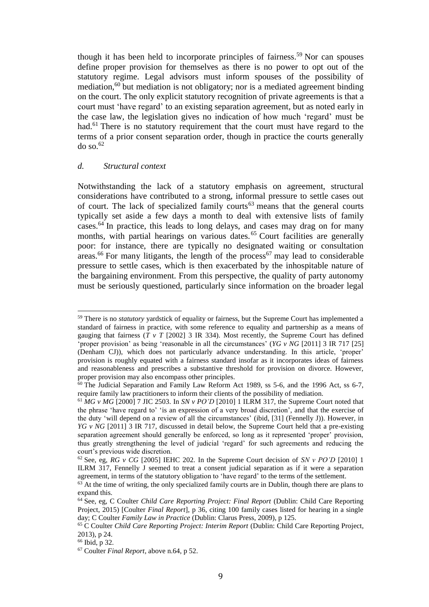though it has been held to incorporate principles of fairness.<sup>59</sup> Nor can spouses define proper provision for themselves as there is no power to opt out of the statutory regime. Legal advisors must inform spouses of the possibility of mediation, $60$  but mediation is not obligatory; nor is a mediated agreement binding on the court. The only explicit statutory recognition of private agreements is that a court must 'have regard' to an existing separation agreement, but as noted early in the case law, the legislation gives no indication of how much 'regard' must be had.<sup>61</sup> There is no statutory requirement that the court must have regard to the terms of a prior consent separation order, though in practice the courts generally do so.<sup>62</sup>

#### *d. Structural context*

<span id="page-9-0"></span>Notwithstanding the lack of a statutory emphasis on agreement, structural considerations have contributed to a strong, informal pressure to settle cases out of court. The lack of specialized family courts<sup>63</sup> means that the general courts typically set aside a few days a month to deal with extensive lists of family cases. <sup>64</sup> In practice, this leads to long delays, and cases may drag on for many months, with partial hearings on various dates.<sup>65</sup> Court facilities are generally poor: for instance, there are typically no designated waiting or consultation areas.<sup>66</sup> For many litigants, the length of the process<sup>67</sup> may lead to considerable pressure to settle cases, which is then exacerbated by the inhospitable nature of the bargaining environment. From this perspective, the quality of party autonomy must be seriously questioned, particularly since information on the broader legal

<sup>&</sup>lt;sup>59</sup> There is no *statutory* yardstick of equality or fairness, but the Supreme Court has implemented a standard of fairness in practice, with some reference to equality and partnership as a means of gauging that fairness (*T v T* [2002] 3 IR 334). Most recently, the Supreme Court has defined 'proper provision' as being 'reasonable in all the circumstances' (*YG v NG* [2011] 3 IR 717 [25] (Denham CJ)), which does not particularly advance understanding. In this article, 'proper' provision is roughly equated with a fairness standard insofar as it incorporates ideas of fairness and reasonableness and prescribes a substantive threshold for provision on divorce. However, proper provision may also encompass other principles.

 $60$  The Judicial Separation and Family Law Reform Act 1989, ss 5-6, and the 1996 Act, ss 6-7, require family law practitioners to inform their clients of the possibility of mediation.

<sup>61</sup> *MG v MG* [2000] 7 JIC 2503. In *SN v PO'D* [2010] 1 ILRM 317*,* the Supreme Court noted that the phrase 'have regard to' 'is an expression of a very broad discretion', and that the exercise of the duty 'will depend on a review of all the circumstances' (ibid, [31] (Fennelly J)). However, in *YG v NG* [2011] 3 IR 717, discussed in detail below, the Supreme Court held that a pre-existing separation agreement should generally be enforced, so long as it represented 'proper' provision, thus greatly strengthening the level of judicial 'regard' for such agreements and reducing the court's previous wide discretion.

 $62$  See, eg, *RG v CG* [2005] IEHC 202. In the Supreme Court decision of *SN v PO'D* [2010] 1 ILRM 317, Fennelly J seemed to treat a consent judicial separation as if it were a separation agreement, in terms of the statutory obligation to 'have regard' to the terms of the settlement.

 $63$  At the time of writing, the only specialized family courts are in Dublin, though there are plans to expand this.

<sup>64</sup> See, eg, C Coulter *Child Care Reporting Project: Final Report* (Dublin: Child Care Reporting Project, 2015) [Coulter *Final Report*], p 36, citing 100 family cases listed for hearing in a single day; C Coulter *Family Law in Practice* (Dublin: Clarus Press, 2009), p 125.

<sup>65</sup> C Coulter *Child Care Reporting Project: Interim Report* (Dublin: Child Care Reporting Project, 2013), p 24.

<sup>66</sup> Ibid, p 32.

<sup>67</sup> Coulter *Final Report*, above [n.64,](#page-9-0) p 52.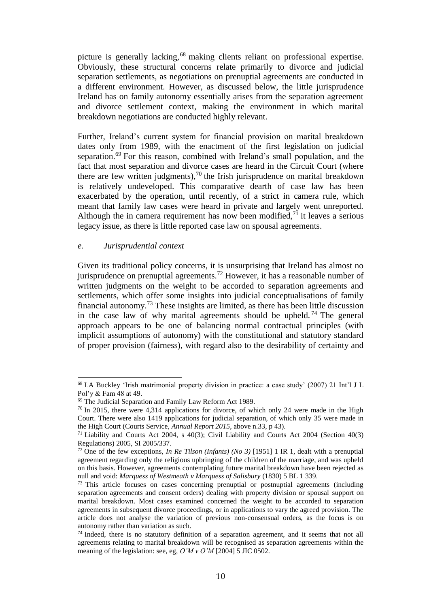picture is generally lacking, <sup>68</sup> making clients reliant on professional expertise. Obviously, these structural concerns relate primarily to divorce and judicial separation settlements, as negotiations on prenuptial agreements are conducted in a different environment. However, as discussed below, the little jurisprudence Ireland has on family autonomy essentially arises from the separation agreement and divorce settlement context, making the environment in which marital breakdown negotiations are conducted highly relevant.

Further, Ireland's current system for financial provision on marital breakdown dates only from 1989, with the enactment of the first legislation on judicial separation.<sup>69</sup> For this reason, combined with Ireland's small population, and the fact that most separation and divorce cases are heard in the Circuit Court (where there are few written judgments),<sup>70</sup> the Irish jurisprudence on marital breakdown is relatively undeveloped. This comparative dearth of case law has been exacerbated by the operation, until recently, of a strict in camera rule, which meant that family law cases were heard in private and largely went unreported. Although the in camera requirement has now been modified,  $\frac{71}{11}$  it leaves a serious legacy issue, as there is little reported case law on spousal agreements.

## *e. Jurisprudential context*

Given its traditional policy concerns, it is unsurprising that Ireland has almost no jurisprudence on prenuptial agreements.<sup>72</sup> However, it has a reasonable number of written judgments on the weight to be accorded to separation agreements and settlements, which offer some insights into judicial conceptualisations of family financial autonomy.<sup>73</sup> These insights are limited, as there has been little discussion in the case law of why marital agreements should be upheld.<sup>74</sup> The general approach appears to be one of balancing normal contractual principles (with implicit assumptions of autonomy) with the constitutional and statutory standard of proper provision (fairness), with regard also to the desirability of certainty and

 $\overline{a}$ <sup>68</sup> LA Buckley 'Irish matrimonial property division in practice: a case study' (2007) 21 Int'l J L Pol'y & Fam 48 at 49.

<sup>69</sup> The Judicial Separation and Family Law Reform Act 1989.

 $70$  In 2015, there were 4,314 applications for divorce, of which only 24 were made in the High Court. There were also 1419 applications for judicial separation, of which only 35 were made in the High Court (Courts Service, *Annual Report 2015*, above [n.33,](#page-6-0) p 43).

<sup>71</sup> Liability and Courts Act 2004, s 40(3); Civil Liability and Courts Act 2004 (Section 40(3) Regulations) 2005, SI 2005/337.

<sup>72</sup> One of the few exceptions, *In Re Tilson (Infants) (No 3)* [1951] 1 IR 1, dealt with a prenuptial agreement regarding only the religious upbringing of the children of the marriage, and was upheld on this basis. However, agreements contemplating future marital breakdown have been rejected as null and void: *Marquess of Westmeath v Marquess of Salisbury* (1830) 5 BL 1 339.

<sup>&</sup>lt;sup>73</sup> This article focuses on cases concerning prenuptial or postnuptial agreements (including separation agreements and consent orders) dealing with property division or spousal support on marital breakdown. Most cases examined concerned the weight to be accorded to separation agreements in subsequent divorce proceedings, or in applications to vary the agreed provision. The article does not analyse the variation of previous non-consensual orders, as the focus is on autonomy rather than variation as such.

 $74$  Indeed, there is no statutory definition of a separation agreement, and it seems that not all agreements relating to marital breakdown will be recognised as separation agreements within the meaning of the legislation: see, eg, *O'M v O'M* [2004] 5 JIC 0502*.*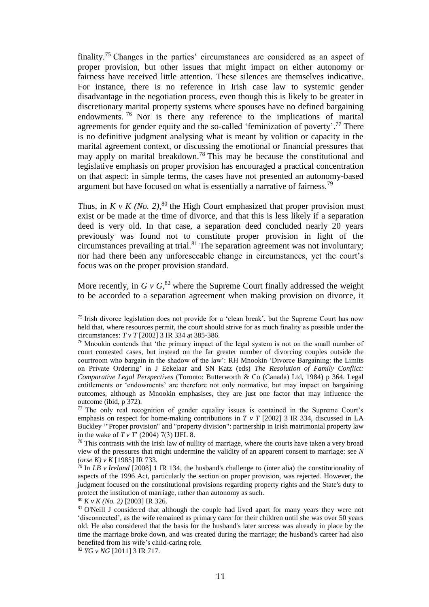finality.<sup>75</sup> Changes in the parties' circumstances are considered as an aspect of proper provision, but other issues that might impact on either autonomy or fairness have received little attention. These silences are themselves indicative. For instance, there is no reference in Irish case law to systemic gender disadvantage in the negotiation process, even though this is likely to be greater in discretionary marital property systems where spouses have no defined bargaining endowments. <sup>76</sup> Nor is there any reference to the implications of marital agreements for gender equity and the so-called 'feminization of poverty'.<sup>77</sup> There is no definitive judgment analysing what is meant by volition or capacity in the marital agreement context, or discussing the emotional or financial pressures that may apply on marital breakdown.<sup>78</sup> This may be because the constitutional and legislative emphasis on proper provision has encouraged a practical concentration on that aspect: in simple terms, the cases have not presented an autonomy-based argument but have focused on what is essentially a narrative of fairness.<sup>79</sup>

Thus, in  $K \vee K$  (*No.* 2),<sup>80</sup> the High Court emphasized that proper provision must exist or be made at the time of divorce, and that this is less likely if a separation deed is very old. In that case, a separation deed concluded nearly 20 years previously was found not to constitute proper provision in light of the  $circ$  circumstances prevailing at trial. $81$  The separation agreement was not involuntary; nor had there been any unforeseeable change in circumstances, yet the court's focus was on the proper provision standard.

More recently, in  $G \vee G$ ,  $82$  where the Supreme Court finally addressed the weight to be accorded to a separation agreement when making provision on divorce, it

<sup>80</sup> *K v K (No. 2)* [2003] IR 326.

 $\overline{a}$ 

<sup>82</sup> *YG v NG* [2011] 3 IR 717.

<sup>&</sup>lt;sup>75</sup> Irish divorce legislation does not provide for a 'clean break', but the Supreme Court has now held that, where resources permit, the court should strive for as much finality as possible under the circumstances: *T v T* [2002] 3 IR 334 at 385-386.

 $76$  Mnookin contends that 'the primary impact of the legal system is not on the small number of court contested cases, but instead on the far greater number of divorcing couples outside the courtroom who bargain in the shadow of the law': RH Mnookin 'Divorce Bargaining: the Limits on Private Ordering' in J Eekelaar and SN Katz (eds) *The Resolution of Family Conflict: Comparative Legal Perspectives* (Toronto: Butterworth & Co (Canada) Ltd, 1984) p 364. Legal entitlements or 'endowments' are therefore not only normative, but may impact on bargaining outcomes, although as Mnookin emphasises, they are just one factor that may influence the outcome (ibid, p 372).

<sup>77</sup> The only real recognition of gender equality issues is contained in the Supreme Court's emphasis on respect for home-making contributions in *T v T* [2002] 3 IR 334, discussed in LA Buckley '"Proper provision" and "property division": partnership in Irish matrimonial property law in the wake of  $T \nu T'$  (2004) 7(3) IJFL 8.

 $78$  This contrasts with the Irish law of nullity of marriage, where the courts have taken a very broad view of the pressures that might undermine the validity of an apparent consent to marriage: see *N (orse K) v K* [1985] IR 733.

<sup>79</sup> In *LB v Ireland* [2008] 1 IR 134, the husband's challenge to (inter alia) the constitutionality of aspects of the 1996 Act, particularly the section on proper provision, was rejected. However, the judgment focused on the constitutional provisions regarding property rights and the State's duty to protect the institution of marriage, rather than autonomy as such.

<sup>&</sup>lt;sup>81</sup> O'Neill J considered that although the couple had lived apart for many years they were not 'disconnected', as the wife remained as primary carer for their children until she was over 50 years old. He also considered that the basis for the husband's later success was already in place by the time the marriage broke down, and was created during the marriage; the husband's career had also benefited from his wife's child-caring role.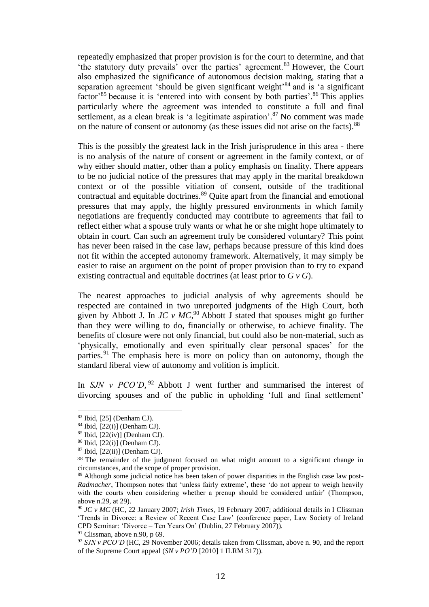repeatedly emphasized that proper provision is for the court to determine, and that 'the statutory duty prevails' over the parties' agreement.<sup>83</sup> However, the Court also emphasized the significance of autonomous decision making, stating that a separation agreement 'should be given significant weight<sup>84</sup> and is 'a significant factor<sup>85</sup> because it is 'entered into with consent by both parties'.<sup>86</sup> This applies particularly where the agreement was intended to constitute a full and final settlement, as a clean break is 'a legitimate aspiration'.<sup>87</sup> No comment was made on the nature of consent or autonomy (as these issues did not arise on the facts).<sup>88</sup>

This is the possibly the greatest lack in the Irish jurisprudence in this area - there is no analysis of the nature of consent or agreement in the family context, or of why either should matter, other than a policy emphasis on finality. There appears to be no judicial notice of the pressures that may apply in the marital breakdown context or of the possible vitiation of consent, outside of the traditional contractual and equitable doctrines.<sup>89</sup> Quite apart from the financial and emotional pressures that may apply, the highly pressured environments in which family negotiations are frequently conducted may contribute to agreements that fail to reflect either what a spouse truly wants or what he or she might hope ultimately to obtain in court. Can such an agreement truly be considered voluntary? This point has never been raised in the case law, perhaps because pressure of this kind does not fit within the accepted autonomy framework. Alternatively, it may simply be easier to raise an argument on the point of proper provision than to try to expand existing contractual and equitable doctrines (at least prior to *G v G*).

<span id="page-12-0"></span>The nearest approaches to judicial analysis of why agreements should be respected are contained in two unreported judgments of the High Court, both given by Abbott J. In  $JC \vee MC$ ,<sup>90</sup> Abbott J stated that spouses might go further than they were willing to do, financially or otherwise, to achieve finality. The benefits of closure were not only financial, but could also be non-material, such as 'physically, emotionally and even spiritually clear personal spaces' for the parties.<sup>91</sup> The emphasis here is more on policy than on autonomy, though the standard liberal view of autonomy and volition is implicit.

In  $S J N$  v  $P CO D$ , <sup>92</sup> Abbott J went further and summarised the interest of divorcing spouses and of the public in upholding 'full and final settlement'

 $\overline{a}$ 

<sup>91</sup> Clissman, above n[.90,](#page-12-0) p 69.

<sup>83</sup> Ibid, [25] (Denham CJ).

 $84$  Ibid,  $[22(i)]$  (Denham CJ).

 $85$  Ibid,  $[22(iv)]$  (Denham CJ).

<sup>86</sup> Ibid, [22(i)] (Denham CJ).

 $87$  Ibid,  $[22(ii)]$  (Denham CJ).

<sup>88</sup> The remainder of the judgment focused on what might amount to a significant change in circumstances, and the scope of proper provision.

<sup>&</sup>lt;sup>89</sup> Although some judicial notice has been taken of power disparities in the English case law post-*Radmacher*, Thompson notes that 'unless fairly extreme', these 'do not appear to weigh heavily with the courts when considering whether a prenup should be considered unfair' (Thompson, above [n.29,](#page-5-0) at 29).

<sup>90</sup> *JC v MC* (HC, 22 January 2007; *Irish Times*, 19 February 2007; additional details in I Clissman 'Trends in Divorce: a Review of Recent Case Law' (conference paper, Law Society of Ireland CPD Seminar: 'Divorce – Ten Years On' (Dublin, 27 February 2007))*.*

<sup>92</sup> *SJN v PCO'D* (HC, 29 November 2006; details taken from Clissman, above n. [90,](#page-12-0) and the report of the Supreme Court appeal (*SN v PO'D* [2010] 1 ILRM 317)).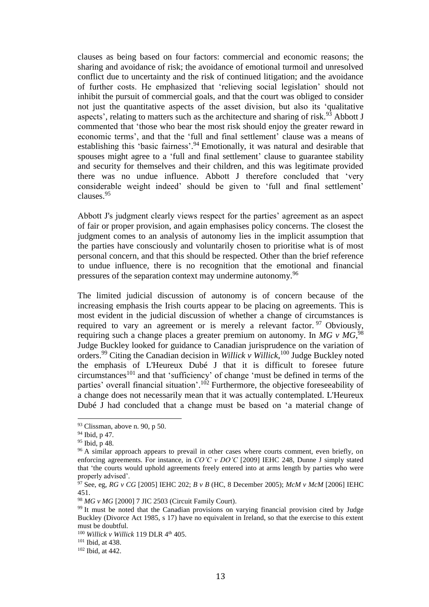clauses as being based on four factors: commercial and economic reasons; the sharing and avoidance of risk; the avoidance of emotional turmoil and unresolved conflict due to uncertainty and the risk of continued litigation; and the avoidance of further costs. He emphasized that 'relieving social legislation' should not inhibit the pursuit of commercial goals, and that the court was obliged to consider not just the quantitative aspects of the asset division, but also its 'qualitative aspects', relating to matters such as the architecture and sharing of risk.<sup>93</sup> Abbott J commented that 'those who bear the most risk should enjoy the greater reward in economic terms', and that the 'full and final settlement' clause was a means of establishing this 'basic fairness'.<sup>94</sup> Emotionally, it was natural and desirable that spouses might agree to a 'full and final settlement' clause to guarantee stability and security for themselves and their children, and this was legitimate provided there was no undue influence. Abbott J therefore concluded that 'very considerable weight indeed' should be given to 'full and final settlement' clauses.<sup>95</sup>

Abbott J's judgment clearly views respect for the parties' agreement as an aspect of fair or proper provision, and again emphasises policy concerns. The closest the judgment comes to an analysis of autonomy lies in the implicit assumption that the parties have consciously and voluntarily chosen to prioritise what is of most personal concern, and that this should be respected. Other than the brief reference to undue influence, there is no recognition that the emotional and financial pressures of the separation context may undermine autonomy.<sup>96</sup>

The limited judicial discussion of autonomy is of concern because of the increasing emphasis the Irish courts appear to be placing on agreements. This is most evident in the judicial discussion of whether a change of circumstances is required to vary an agreement or is merely a relevant factor.  $97$  Obviously, requiring such a change places a greater premium on autonomy. In *MG v MG*, 98 Judge Buckley looked for guidance to Canadian jurisprudence on the variation of orders.<sup>99</sup> Citing the Canadian decision in *Willick v Willick*, <sup>100</sup> Judge Buckley noted the emphasis of L'Heureux Dubé J that it is difficult to foresee future circumstances<sup>101</sup> and that 'sufficiency' of change 'must be defined in terms of the parties' overall financial situation'.<sup>102</sup> Furthermore, the objective foreseeability of a change does not necessarily mean that it was actually contemplated. L'Heureux Dubé J had concluded that a change must be based on 'a material change of

<sup>93</sup> Clissman, above n. [90](#page-12-0)*,* p 50.

<sup>94</sup> Ibid, p 47.

<sup>95</sup> Ibid, p 48.

<sup>&</sup>lt;sup>96</sup> A similar approach appears to prevail in other cases where courts comment, even briefly, on enforcing agreements. For instance, in *CO'C v DO'C* [2009] IEHC 248, Dunne J simply stated that 'the courts would uphold agreements freely entered into at arms length by parties who were properly advised'.

<sup>97</sup> See, eg, *RG v CG* [2005] IEHC 202; *B v B* (HC, 8 December 2005); *McM v McM* [2006] IEHC 451.

<sup>98</sup> *MG v MG* [2000] 7 JIC 2503 (Circuit Family Court).

<sup>&</sup>lt;sup>99</sup> It must be noted that the Canadian provisions on varying financial provision cited by Judge Buckley (Divorce Act 1985, s 17) have no equivalent in Ireland, so that the exercise to this extent must be doubtful.

<sup>100</sup> *Willick v Willick* 119 DLR 4 th 405.

<sup>101</sup> Ibid, at 438.

<sup>102</sup> Ibid, at 442.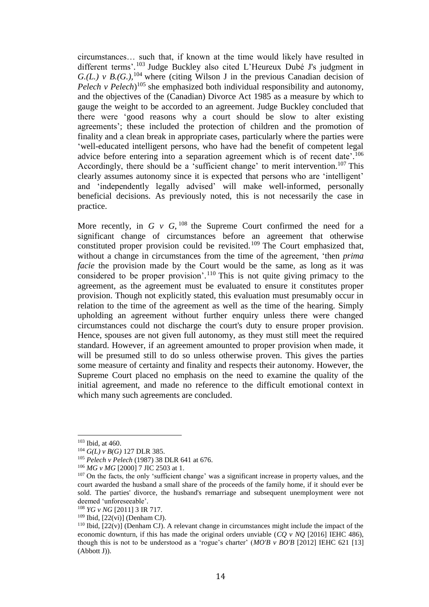circumstances… such that, if known at the time would likely have resulted in different terms'.<sup>103</sup> Judge Buckley also cited L'Heureux Dubé J's judgment in  $G(L)$  v  $B(G)$ ,<sup>104</sup> where (citing Wilson J in the previous Canadian decision of *Pelech v Pelech*) <sup>105</sup> she emphasized both individual responsibility and autonomy, and the objectives of the (Canadian) Divorce Act 1985 as a measure by which to gauge the weight to be accorded to an agreement. Judge Buckley concluded that there were 'good reasons why a court should be slow to alter existing agreements'; these included the protection of children and the promotion of finality and a clean break in appropriate cases, particularly where the parties were 'well-educated intelligent persons, who have had the benefit of competent legal advice before entering into a separation agreement which is of recent date'.<sup>106</sup> Accordingly, there should be a 'sufficient change' to merit intervention.<sup>107</sup> This clearly assumes autonomy since it is expected that persons who are 'intelligent' and 'independently legally advised' will make well-informed, personally beneficial decisions. As previously noted, this is not necessarily the case in practice.

More recently, in  $G \vee G$ ,  $^{108}$  the Supreme Court confirmed the need for a significant change of circumstances before an agreement that otherwise constituted proper provision could be revisited.<sup>109</sup> The Court emphasized that, without a change in circumstances from the time of the agreement, 'then *prima facie* the provision made by the Court would be the same, as long as it was considered to be proper provision'.<sup>110</sup> This is not quite giving primacy to the agreement, as the agreement must be evaluated to ensure it constitutes proper provision. Though not explicitly stated, this evaluation must presumably occur in relation to the time of the agreement as well as the time of the hearing. Simply upholding an agreement without further enquiry unless there were changed circumstances could not discharge the court's duty to ensure proper provision. Hence, spouses are not given full autonomy, as they must still meet the required standard. However, if an agreement amounted to proper provision when made, it will be presumed still to do so unless otherwise proven. This gives the parties some measure of certainty and finality and respects their autonomy. However, the Supreme Court placed no emphasis on the need to examine the quality of the initial agreement, and made no reference to the difficult emotional context in which many such agreements are concluded.

<sup>103</sup> Ibid, at 460.

<sup>104</sup> *G(L) v B(G)* 127 DLR 385.

<sup>105</sup> *Pelech v Pelech* (1987) 38 DLR 641 at 676.

<sup>106</sup> *MG v MG* [2000] 7 JIC 2503 at 1.

<sup>&</sup>lt;sup>107</sup> On the facts, the only 'sufficient change' was a significant increase in property values, and the court awarded the husband a small share of the proceeds of the family home, if it should ever be sold. The parties' divorce, the husband's remarriage and subsequent unemployment were not deemed 'unforeseeable'.

<sup>108</sup> *YG v NG* [2011] 3 IR 717.

 $109$  Ibid,  $[22(vi)]$  (Denham CJ).

 $110$  Ibid,  $[22(v)]$  (Denham CJ). A relevant change in circumstances might include the impact of the economic downturn, if this has made the original orders unviable (*CQ v NQ* [2016] IEHC 486), though this is not to be understood as a 'rogue's charter' (*MO'B v BO'B* [2012] IEHC 621 [13] (Abbott J)).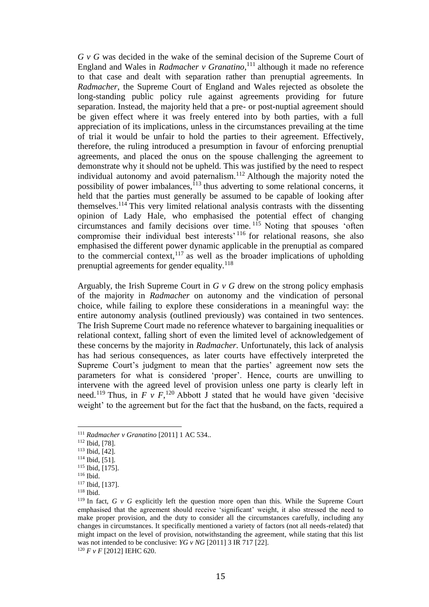*G v G* was decided in the wake of the seminal decision of the Supreme Court of England and Wales in *Radmacher v Granatino*, <sup>111</sup> although it made no reference to that case and dealt with separation rather than prenuptial agreements. In *Radmacher*, the Supreme Court of England and Wales rejected as obsolete the long-standing public policy rule against agreements providing for future separation. Instead, the majority held that a pre- or post-nuptial agreement should be given effect where it was freely entered into by both parties, with a full appreciation of its implications, unless in the circumstances prevailing at the time of trial it would be unfair to hold the parties to their agreement. Effectively, therefore, the ruling introduced a presumption in favour of enforcing prenuptial agreements, and placed the onus on the spouse challenging the agreement to demonstrate why it should not be upheld. This was justified by the need to respect individual autonomy and avoid paternalism.<sup>112</sup> Although the majority noted the possibility of power imbalances, $^{113}$  thus adverting to some relational concerns, it held that the parties must generally be assumed to be capable of looking after themselves.<sup>114</sup> This very limited relational analysis contrasts with the dissenting opinion of Lady Hale, who emphasised the potential effect of changing circumstances and family decisions over time.<sup>115</sup> Noting that spouses 'often compromise their individual best interests' <sup>116</sup> for relational reasons, she also emphasised the different power dynamic applicable in the prenuptial as compared to the commercial context,  $117$  as well as the broader implications of upholding prenuptial agreements for gender equality.<sup>118</sup>

Arguably, the Irish Supreme Court in *G v G* drew on the strong policy emphasis of the majority in *Radmacher* on autonomy and the vindication of personal choice, while failing to explore these considerations in a meaningful way: the entire autonomy analysis (outlined previously) was contained in two sentences. The Irish Supreme Court made no reference whatever to bargaining inequalities or relational context, falling short of even the limited level of acknowledgement of these concerns by the majority in *Radmacher*. Unfortunately, this lack of analysis has had serious consequences, as later courts have effectively interpreted the Supreme Court's judgment to mean that the parties' agreement now sets the parameters for what is considered 'proper'. Hence, courts are unwilling to intervene with the agreed level of provision unless one party is clearly left in need.<sup>119</sup> Thus, in  $F \vee F$ , <sup>120</sup> Abbott J stated that he would have given 'decisive weight' to the agreement but for the fact that the husband, on the facts, required a

<sup>111</sup> *Radmacher v Granatino* [2011] 1 AC 534..

<sup>112</sup> Ibid, [78].

<sup>113</sup> Ibid, [42].

<sup>114</sup> Ibid, [51].

<sup>115</sup> Ibid, [175].

<sup>116</sup> Ibid.

<sup>117</sup> Ibid, [137].

 $118$  Ibid.

<sup>&</sup>lt;sup>119</sup> In fact, *G v G* explicitly left the question more open than this. While the Supreme Court emphasised that the agreement should receive 'significant' weight, it also stressed the need to make proper provision, and the duty to consider all the circumstances carefully, including any changes in circumstances. It specifically mentioned a variety of factors (not all needs-related) that might impact on the level of provision, notwithstanding the agreement, while stating that this list was not intended to be conclusive: *YG v NG* [2011] 3 IR 717 [22]. <sup>120</sup> *F v F* [2012] IEHC 620.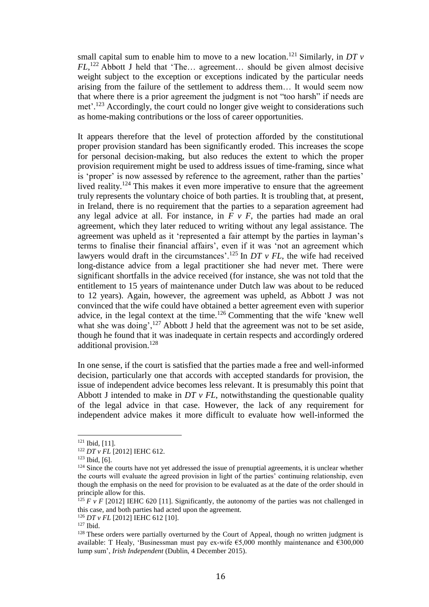small capital sum to enable him to move to a new location. <sup>121</sup> Similarly, in *DT v FL*,<sup>122</sup> Abbott J held that 'The... agreement... should be given almost decisive weight subject to the exception or exceptions indicated by the particular needs arising from the failure of the settlement to address them… It would seem now that where there is a prior agreement the judgment is not "too harsh" if needs are met'.<sup>123</sup> Accordingly, the court could no longer give weight to considerations such as home-making contributions or the loss of career opportunities.

It appears therefore that the level of protection afforded by the constitutional proper provision standard has been significantly eroded. This increases the scope for personal decision-making, but also reduces the extent to which the proper provision requirement might be used to address issues of time-framing, since what is 'proper' is now assessed by reference to the agreement, rather than the parties' lived reality.<sup>124</sup> This makes it even more imperative to ensure that the agreement truly represents the voluntary choice of both parties. It is troubling that, at present, in Ireland, there is no requirement that the parties to a separation agreement had any legal advice at all. For instance, in  $F \vee F$ , the parties had made an oral agreement, which they later reduced to writing without any legal assistance. The agreement was upheld as it 'represented a fair attempt by the parties in layman's terms to finalise their financial affairs', even if it was 'not an agreement which lawyers would draft in the circumstances'.<sup>125</sup> In *DT v FL*, the wife had received long-distance advice from a legal practitioner she had never met. There were significant shortfalls in the advice received (for instance, she was not told that the entitlement to 15 years of maintenance under Dutch law was about to be reduced to 12 years). Again, however, the agreement was upheld, as Abbott J was not convinced that the wife could have obtained a better agreement even with superior advice, in the legal context at the time.<sup>126</sup> Commenting that the wife 'knew well what she was doing', $127$  Abbott J held that the agreement was not to be set aside, though he found that it was inadequate in certain respects and accordingly ordered additional provision.<sup>128</sup>

<span id="page-16-0"></span>In one sense, if the court is satisfied that the parties made a free and well-informed decision, particularly one that accords with accepted standards for provision, the issue of independent advice becomes less relevant. It is presumably this point that Abbott J intended to make in *DT v FL*, notwithstanding the questionable quality of the legal advice in that case. However, the lack of any requirement for independent advice makes it more difficult to evaluate how well-informed the

 $121$  Ibid, [11].

<sup>122</sup> *DT v FL* [2012] IEHC 612.

<sup>123</sup> Ibid, [6].

 $124$  Since the courts have not yet addressed the issue of prenuptial agreements, it is unclear whether the courts will evaluate the agreed provision in light of the parties' continuing relationship, even though the emphasis on the need for provision to be evaluated as at the date of the order should in principle allow for this.

<sup>&</sup>lt;sup>125</sup> *F*  $\overline{v}$  *F* [2012] IEHC 620 [11]. Significantly, the autonomy of the parties was not challenged in this case, and both parties had acted upon the agreement.

<sup>126</sup> *DT v FL* [2012] IEHC 612 [10].

<sup>127</sup> Ibid.

 $128$  These orders were partially overturned by the Court of Appeal, though no written judgment is available: T Healy, 'Businessman must pay ex-wife  $\epsilon$ 5,000 monthly maintenance and  $\epsilon$ 300,000 lump sum', *Irish Independent* (Dublin, 4 December 2015).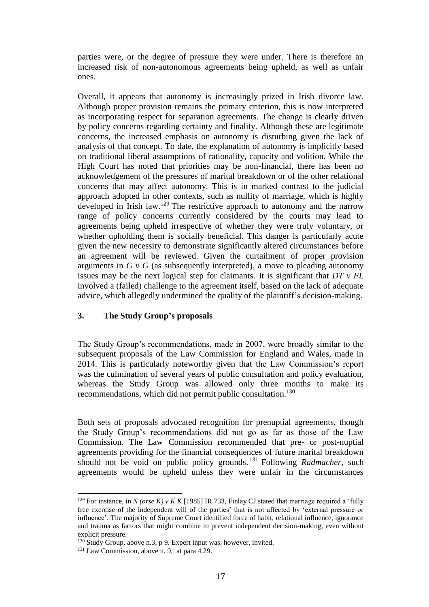parties were, or the degree of pressure they were under. There is therefore an increased risk of non-autonomous agreements being upheld, as well as unfair ones.

Overall, it appears that autonomy is increasingly prized in Irish divorce law. Although proper provision remains the primary criterion, this is now interpreted as incorporating respect for separation agreements. The change is clearly driven by policy concerns regarding certainty and finality. Although these are legitimate concerns, the increased emphasis on autonomy is disturbing given the lack of analysis of that concept. To date, the explanation of autonomy is implicitly based on traditional liberal assumptions of rationality, capacity and volition. While the High Court has noted that priorities may be non-financial, there has been no acknowledgement of the pressures of marital breakdown or of the other relational concerns that may affect autonomy. This is in marked contrast to the judicial approach adopted in other contexts, such as nullity of marriage, which is highly developed in Irish law.<sup>129</sup> The restrictive approach to autonomy and the narrow range of policy concerns currently considered by the courts may lead to agreements being upheld irrespective of whether they were truly voluntary, or whether upholding them is socially beneficial. This danger is particularly acute given the new necessity to demonstrate significantly altered circumstances before an agreement will be reviewed. Given the curtailment of proper provision arguments in  $G \vee G$  (as subsequently interpreted), a move to pleading autonomy issues may be the next logical step for claimants. It is significant that *DT v FL* involved a (failed) challenge to the agreement itself, based on the lack of adequate advice, which allegedly undermined the quality of the plaintiff's decision-making.

# **3. The Study Group's proposals**

The Study Group's recommendations, made in 2007, were broadly similar to the subsequent proposals of the Law Commission for England and Wales, made in 2014. This is particularly noteworthy given that the Law Commission's report was the culmination of several years of public consultation and policy evaluation, whereas the Study Group was allowed only three months to make its recommendations, which did not permit public consultation.<sup>130</sup>

Both sets of proposals advocated recognition for prenuptial agreements, though the Study Group's recommendations did not go as far as those of the Law Commission. The Law Commission recommended that pre- or post-nuptial agreements providing for the financial consequences of future marital breakdown should not be void on public policy grounds. <sup>131</sup> Following *Radmacher,* such agreements would be upheld unless they were unfair in the circumstances

<sup>129</sup> For instance, in *N (orse K) v K K* [1985] IR 733, Finlay CJ stated that marriage required a 'fully free exercise of the independent will of the parties' that is not affected by 'external pressure or influence'. The majority of Supreme Court identified force of habit, relational influence, ignorance and trauma as factors that might combine to prevent independent decision-making, even without explicit pressure.

<sup>&</sup>lt;sup>130</sup> Study Group, above n[.3,](#page-1-1) p 9. Expert input was, however, invited.

<sup>131</sup> Law Commission, above n. [9,](#page-1-2) at para 4.29.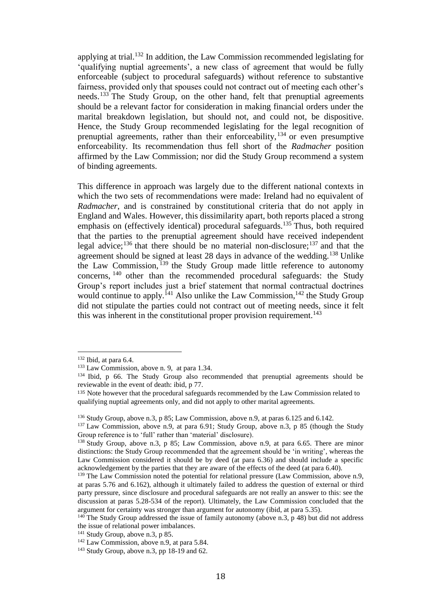applying at trial.<sup>132</sup> In addition, the Law Commission recommended legislating for 'qualifying nuptial agreements', a new class of agreement that would be fully enforceable (subject to procedural safeguards) without reference to substantive fairness, provided only that spouses could not contract out of meeting each other's needs.<sup>133</sup> The Study Group, on the other hand, felt that prenuptial agreements should be a relevant factor for consideration in making financial orders under the marital breakdown legislation, but should not, and could not, be dispositive. Hence, the Study Group recommended legislating for the legal recognition of prenuptial agreements, rather than their enforceability, <sup>134</sup> or even presumptive enforceability. Its recommendation thus fell short of the *Radmacher* position affirmed by the Law Commission; nor did the Study Group recommend a system of binding agreements.

This difference in approach was largely due to the different national contexts in which the two sets of recommendations were made: Ireland had no equivalent of *Radmacher*, and is constrained by constitutional criteria that do not apply in England and Wales. However, this dissimilarity apart, both reports placed a strong emphasis on (effectively identical) procedural safeguards.<sup>135</sup> Thus, both required that the parties to the prenuptial agreement should have received independent legal advice;<sup>136</sup> that there should be no material non-disclosure;<sup>137</sup> and that the agreement should be signed at least 28 days in advance of the wedding.<sup>138</sup> Unlike the Law Commission, <sup>139</sup> the Study Group made little reference to autonomy concerns, <sup>140</sup> other than the recommended procedural safeguards: the Study Group's report includes just a brief statement that normal contractual doctrines would continue to apply.<sup> $141$ </sup> Also unlike the Law Commission,<sup>142</sup> the Study Group did not stipulate the parties could not contract out of meeting needs, since it felt this was inherent in the constitutional proper provision requirement.<sup>143</sup>

 $132$  Ibid, at para 6.4.

<sup>&</sup>lt;sup>133</sup> Law Commission, above n. [9,](#page-1-2) at para 1.34.

<sup>&</sup>lt;sup>134</sup> Ibid, p 66. The Study Group also recommended that prenuptial agreements should be reviewable in the event of death: ibid, p 77.

<sup>&</sup>lt;sup>135</sup> Note however that the procedural safeguards recommended by the Law Commission related to qualifying nuptial agreements only, and did not apply to other marital agreements.

<sup>&</sup>lt;sup>136</sup> Study Group, above n[.3,](#page-1-3) p 85; Law Commission, above n[.9,](#page-1-2) at paras 6.125 and 6.142.

<sup>137</sup> Law Commission, above n[.9,](#page-1-2) at para 6.91; Study Group, above n[.3,](#page-1-1) p 85 (though the Study Group reference is to 'full' rather than 'material' disclosure).

<sup>138</sup> Study Group, above n[.3,](#page-1-1) p 85; Law Commission, above n[.9,](#page-1-2) at para 6.65. There are minor distinctions: the Study Group recommended that the agreement should be 'in writing', whereas the Law Commission considered it should be by deed (at para 6.36) and should include a specific acknowledgement by the parties that they are aware of the effects of the deed (at para 6.40).

<sup>&</sup>lt;sup>139</sup> The Law Commission noted the potential for relational pressure (Law Commission, above n[.9,](#page-1-2) at paras 5.76 and 6.162), although it ultimately failed to address the question of external or third party pressure, since disclosure and procedural safeguards are not really an answer to this: see the discussion at paras 5.28-534 of the report). Ultimately, the Law Commission concluded that the argument for certainty was stronger than argument for autonomy (ibid, at para 5.35).

<sup>&</sup>lt;sup>140</sup> The Study Group addressed the issue of family autonomy (above n[.3,](#page-1-1) p 48) but did not address the issue of relational power imbalances.

<sup>&</sup>lt;sup>141</sup> Study Group, above n[.3,](#page-1-1) p 85.

<sup>&</sup>lt;sup>142</sup> Law Commission, above [n.9,](#page-1-2) at para 5.84.

 $143$  Study Group, above n[.3,](#page-1-1) pp 18-19 and 62.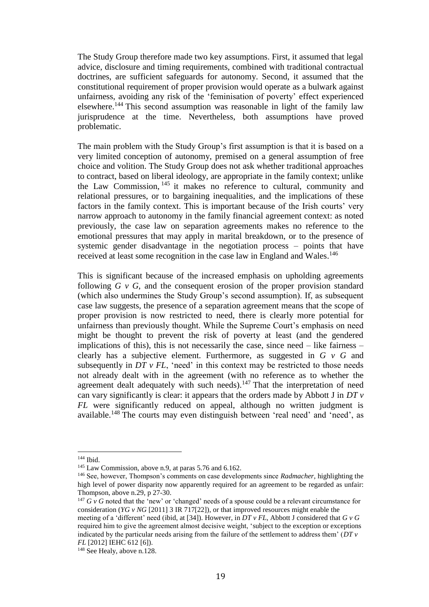The Study Group therefore made two key assumptions. First, it assumed that legal advice, disclosure and timing requirements, combined with traditional contractual doctrines, are sufficient safeguards for autonomy. Second, it assumed that the constitutional requirement of proper provision would operate as a bulwark against unfairness, avoiding any risk of the 'feminisation of poverty' effect experienced elsewhere.<sup>144</sup> This second assumption was reasonable in light of the family law jurisprudence at the time. Nevertheless, both assumptions have proved problematic.

The main problem with the Study Group's first assumption is that it is based on a very limited conception of autonomy, premised on a general assumption of free choice and volition. The Study Group does not ask whether traditional approaches to contract, based on liberal ideology, are appropriate in the family context; unlike the Law Commission, <sup>145</sup> it makes no reference to cultural, community and relational pressures, or to bargaining inequalities, and the implications of these factors in the family context. This is important because of the Irish courts' very narrow approach to autonomy in the family financial agreement context: as noted previously, the case law on separation agreements makes no reference to the emotional pressures that may apply in marital breakdown, or to the presence of systemic gender disadvantage in the negotiation process – points that have received at least some recognition in the case law in England and Wales.<sup>146</sup>

This is significant because of the increased emphasis on upholding agreements following *G v G*, and the consequent erosion of the proper provision standard (which also undermines the Study Group's second assumption). If, as subsequent case law suggests, the presence of a separation agreement means that the scope of proper provision is now restricted to need, there is clearly more potential for unfairness than previously thought. While the Supreme Court's emphasis on need might be thought to prevent the risk of poverty at least (and the gendered implications of this), this is not necessarily the case, since need  $-$  like fairness  $$ clearly has a subjective element. Furthermore, as suggested in *G v G* and subsequently in  $DT \vee FL$ , 'need' in this context may be restricted to those needs not already dealt with in the agreement (with no reference as to whether the agreement dealt adequately with such needs).<sup>147</sup> That the interpretation of need can vary significantly is clear: it appears that the orders made by Abbott J in *DT v FL* were significantly reduced on appeal, although no written judgment is available.<sup>148</sup> The courts may even distinguish between 'real need' and 'need', as

<sup>144</sup> Ibid.

<sup>&</sup>lt;sup>145</sup> Law Commission, above [n.9,](#page-1-2) at paras 5.76 and 6.162.

<sup>146</sup> See, however, Thompson's comments on case developments since *Radmacher*, highlighting the high level of power disparity now apparently required for an agreement to be regarded as unfair: Thompson, above n[.29,](#page-5-0) p 27-30.

<sup>&</sup>lt;sup>147</sup>  $G \nu G$  noted that the 'new' or 'changed' needs of a spouse could be a relevant circumstance for consideration (*YG v NG* [2011] 3 IR 717[22]), or that improved resources might enable the

meeting of a 'different' need (ibid, at [34]). However, in *DT v FL*, Abbott J considered that *G v G* required him to give the agreement almost decisive weight, 'subject to the exception or exceptions indicated by the particular needs arising from the failure of the settlement to address them' (*DT v FL* [2012] IEHC 612 [6]).

<sup>&</sup>lt;sup>148</sup> See Healy, above [n.128.](#page-16-0)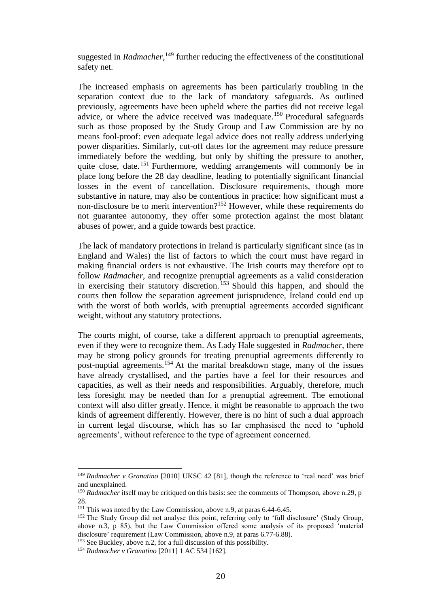suggested in *Radmacher*,<sup>149</sup> further reducing the effectiveness of the constitutional safety net.

The increased emphasis on agreements has been particularly troubling in the separation context due to the lack of mandatory safeguards. As outlined previously, agreements have been upheld where the parties did not receive legal advice, or where the advice received was inadequate. <sup>150</sup> Procedural safeguards such as those proposed by the Study Group and Law Commission are by no means fool-proof: even adequate legal advice does not really address underlying power disparities. Similarly, cut-off dates for the agreement may reduce pressure immediately before the wedding, but only by shifting the pressure to another, quite close, date.<sup>151</sup> Furthermore, wedding arrangements will commonly be in place long before the 28 day deadline, leading to potentially significant financial losses in the event of cancellation. Disclosure requirements, though more substantive in nature, may also be contentious in practice: how significant must a non-disclosure be to merit intervention?<sup>152</sup> However, while these requirements do not guarantee autonomy, they offer some protection against the most blatant abuses of power, and a guide towards best practice.

The lack of mandatory protections in Ireland is particularly significant since (as in England and Wales) the list of factors to which the court must have regard in making financial orders is not exhaustive. The Irish courts may therefore opt to follow *Radmacher*, and recognize prenuptial agreements as a valid consideration in exercising their statutory discretion. <sup>153</sup> Should this happen, and should the courts then follow the separation agreement jurisprudence, Ireland could end up with the worst of both worlds, with prenuptial agreements accorded significant weight, without any statutory protections.

The courts might, of course, take a different approach to prenuptial agreements, even if they were to recognize them. As Lady Hale suggested in *Radmacher*, there may be strong policy grounds for treating prenuptial agreements differently to post-nuptial agreements.<sup>154</sup> At the marital breakdown stage, many of the issues have already crystallised, and the parties have a feel for their resources and capacities, as well as their needs and responsibilities. Arguably, therefore, much less foresight may be needed than for a prenuptial agreement. The emotional context will also differ greatly. Hence, it might be reasonable to approach the two kinds of agreement differently. However, there is no hint of such a dual approach in current legal discourse, which has so far emphasised the need to 'uphold agreements', without reference to the type of agreement concerned.

<sup>149</sup> *Radmacher v Granatino* [2010] UKSC 42 [81], though the reference to 'real need' was brief and unexplained.

<sup>&</sup>lt;sup>150</sup> *Radmacher* itself may be critiqued on this basis: see the comments of Thompson, above n[.29,](#page-5-0) p 28.

<sup>&</sup>lt;sup>151</sup> This was noted by the Law Commission, above n[.9,](#page-1-2) at paras 6.44-6.45.

<sup>&</sup>lt;sup>152</sup> The Study Group did not analyse this point, referring only to 'full disclosure' (Study Group, above n[.3,](#page-1-1) p 85), but the Law Commission offered some analysis of its proposed 'material disclosure' requirement (Law Commission, above n[.9,](#page-1-2) at paras 6.77-6.88).

<sup>&</sup>lt;sup>153</sup> See Buckley, above n[.2,](#page-1-0) for a full discussion of this possibility.

<sup>154</sup> *Radmacher v Granatino* [2011] 1 AC 534 [162].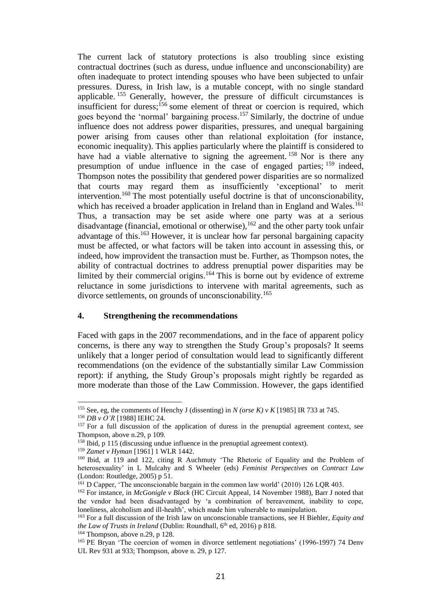The current lack of statutory protections is also troubling since existing contractual doctrines (such as duress, undue influence and unconscionability) are often inadequate to protect intending spouses who have been subjected to unfair pressures. Duress, in Irish law, is a mutable concept, with no single standard applicable. <sup>155</sup> Generally, however, the pressure of difficult circumstances is insufficient for duress;<sup>156</sup> some element of threat or coercion is required, which goes beyond the 'normal' bargaining process. <sup>157</sup> Similarly, the doctrine of undue influence does not address power disparities, pressures, and unequal bargaining power arising from causes other than relational exploitation (for instance, economic inequality). This applies particularly where the plaintiff is considered to have had a viable alternative to signing the agreement. <sup>158</sup> Nor is there any presumption of undue influence in the case of engaged parties; <sup>159</sup> indeed, Thompson notes the possibility that gendered power disparities are so normalized that courts may regard them as insufficiently 'exceptional' to merit intervention.<sup>160</sup> The most potentially useful doctrine is that of unconscionability, which has received a broader application in Ireland than in England and Wales.<sup>161</sup> Thus, a transaction may be set aside where one party was at a serious disadvantage (financial, emotional or otherwise),  $162$  and the other party took unfair advantage of this.<sup>163</sup> However, it is unclear how far personal bargaining capacity must be affected, or what factors will be taken into account in assessing this, or indeed, how improvident the transaction must be. Further, as Thompson notes, the ability of contractual doctrines to address prenuptial power disparities may be limited by their commercial origins.<sup>164</sup> This is borne out by evidence of extreme reluctance in some jurisdictions to intervene with marital agreements, such as divorce settlements, on grounds of unconscionability.<sup>165</sup>

# **4. Strengthening the recommendations**

Faced with gaps in the 2007 recommendations, and in the face of apparent policy concerns, is there any way to strengthen the Study Group's proposals? It seems unlikely that a longer period of consultation would lead to significantly different recommendations (on the evidence of the substantially similar Law Commission report): if anything, the Study Group's proposals might rightly be regarded as more moderate than those of the Law Commission. However, the gaps identified

<sup>159</sup> *Zamet v Hyman* [1961] 1 WLR 1442.

 $\overline{a}$ 

 $164$  Thompson, above [n.29,](#page-5-0) p 128.

<sup>&</sup>lt;sup>155</sup> See, eg, the comments of Henchy J (dissenting) in *N (orse K) v K* [1985] IR 733 at 745. <sup>156</sup> *DB v O'R* [1988] IEHC 24.

<sup>&</sup>lt;sup>157</sup> For a full discussion of the application of duress in the prenuptial agreement context, see Thompson, above n[.29,](#page-5-0) p 109.

<sup>158</sup> Ibid, p 115 (discussing undue influence in the prenuptial agreement context).

<sup>&</sup>lt;sup>160</sup> Ibid, at 119 and 122, citing R Auchmuty 'The Rhetoric of Equality and the Problem of heterosexuality' in L Mulcahy and S Wheeler (eds) *Feminist Perspectives on Contract Law*  (London: Routledge, 2005) p 51.

<sup>&</sup>lt;sup>161</sup> D Capper, 'The unconscionable bargain in the common law world' (2010) 126 LQR 403.

<sup>&</sup>lt;sup>162</sup> For instance, in *McGonigle v Black* (HC Circuit Appeal, 14 November 1988), Barr J noted that the vendor had been disadvantaged by 'a combination of bereavement, inability to cope, loneliness, alcoholism and ill-health', which made him vulnerable to manipulation.

<sup>163</sup> For a full discussion of the Irish law on unconscionable transactions, see H Biehler, *Equity and*  the Law of Trusts in Ireland (Dublin: Roundhall, 6<sup>th</sup> ed, 2016) p 818.

<sup>&</sup>lt;sup>165</sup> PE Bryan 'The coercion of women in divorce settlement negotiations' (1996-1997) 74 Denv UL Rev 931 at 933; Thompson, above n. [29,](#page-5-0) p 127.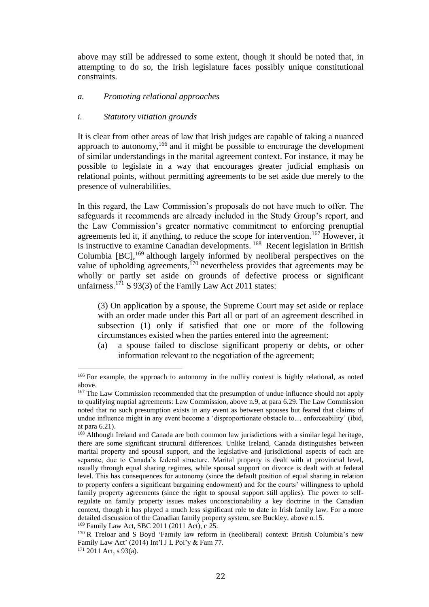above may still be addressed to some extent, though it should be noted that, in attempting to do so, the Irish legislature faces possibly unique constitutional constraints.

## *a. Promoting relational approaches*

## *i. Statutory vitiation grounds*

It is clear from other areas of law that Irish judges are capable of taking a nuanced approach to autonomy,  $166$  and it might be possible to encourage the development of similar understandings in the marital agreement context. For instance, it may be possible to legislate in a way that encourages greater judicial emphasis on relational points, without permitting agreements to be set aside due merely to the presence of vulnerabilities.

In this regard, the Law Commission's proposals do not have much to offer. The safeguards it recommends are already included in the Study Group's report, and the Law Commission's greater normative commitment to enforcing prenuptial agreements led it, if anything, to reduce the scope for intervention.<sup>167</sup> However, it is instructive to examine Canadian developments. <sup>168</sup> Recent legislation in British Columbia [BC],<sup>169</sup> although largely informed by neoliberal perspectives on the value of upholding agreements, $1^{70}$  nevertheless provides that agreements may be wholly or partly set aside on grounds of defective process or significant unfairness.<sup>171</sup> S 93(3) of the Family Law Act 2011 states:

(3) On application by a spouse, the Supreme Court may set aside or replace with an order made under this Part all or part of an agreement described in subsection (1) only if satisfied that one or more of the following circumstances existed when the parties entered into the agreement:

(a) a spouse failed to disclose significant property or debts, or other information relevant to the negotiation of the agreement;

<sup>169</sup> Family Law Act, SBC 2011 (2011 Act), c 25.

<sup>166</sup> For example, the approach to autonomy in the nullity context is highly relational, as noted above.

<sup>&</sup>lt;sup>167</sup> The Law Commission recommended that the presumption of undue influence should not apply to qualifying nuptial agreements: Law Commission, above n[.9,](#page-1-2) at para 6.29. The Law Commission noted that no such presumption exists in any event as between spouses but feared that claims of undue influence might in any event become a 'disproportionate obstacle to… enforceability' (ibid, at para 6.21).

<sup>&</sup>lt;sup>168</sup> Although Ireland and Canada are both common law jurisdictions with a similar legal heritage, there are some significant structural differences. Unlike Ireland, Canada distinguishes between marital property and spousal support, and the legislative and jurisdictional aspects of each are separate, due to Canada's federal structure. Marital property is dealt with at provincial level, usually through equal sharing regimes, while spousal support on divorce is dealt with at federal level. This has consequences for autonomy (since the default position of equal sharing in relation to property confers a significant bargaining endowment) and for the courts' willingness to uphold family property agreements (since the right to spousal support still applies). The power to selfregulate on family property issues makes unconscionability a key doctrine in the Canadian context, though it has played a much less significant role to date in Irish family law. For a more detailed discussion of the Canadian family property system, see Buckley, above n[.15.](#page-3-0)

<sup>170</sup> R Treloar and S Boyd 'Family law reform in (neoliberal) context: British Columbia's new Family Law Act' (2014) Int'l J L Pol'y & Fam 77.

 $171$  2011 Act, s 93(a).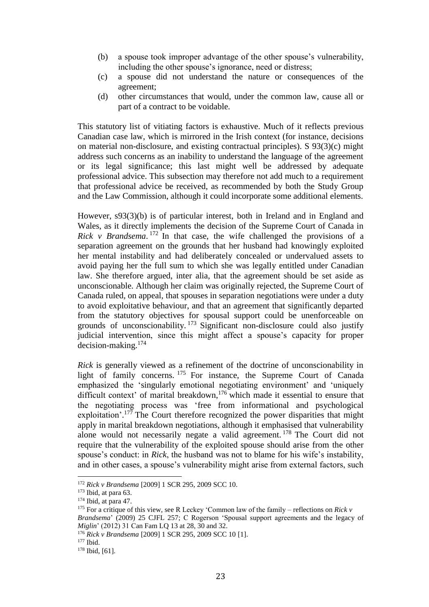- (b) a spouse took improper advantage of the other spouse's vulnerability, including the other spouse's ignorance, need or distress;
- (c) a spouse did not understand the nature or consequences of the agreement;
- (d) other circumstances that would, under the common law, cause all or part of a contract to be voidable.

This statutory list of vitiating factors is exhaustive. Much of it reflects previous Canadian case law, which is mirrored in the Irish context (for instance, decisions on material non-disclosure, and existing contractual principles). S 93(3)(c) might address such concerns as an inability to understand the language of the agreement or its legal significance; this last might well be addressed by adequate professional advice. This subsection may therefore not add much to a requirement that professional advice be received, as recommended by both the Study Group and the Law Commission, although it could incorporate some additional elements.

However, s93(3)(b) is of particular interest, both in Ireland and in England and Wales, as it directly implements the decision of the Supreme Court of Canada in *Rick v Brandsema*. <sup>172</sup> In that case, the wife challenged the provisions of a separation agreement on the grounds that her husband had knowingly exploited her mental instability and had deliberately concealed or undervalued assets to avoid paying her the full sum to which she was legally entitled under Canadian law. She therefore argued, inter alia, that the agreement should be set aside as unconscionable. Although her claim was originally rejected, the Supreme Court of Canada ruled, on appeal, that spouses in separation negotiations were under a duty to avoid exploitative behaviour, and that an agreement that significantly departed from the statutory objectives for spousal support could be unenforceable on grounds of unconscionability. <sup>173</sup> Significant non-disclosure could also justify judicial intervention, since this might affect a spouse's capacity for proper decision-making. 174

*Rick* is generally viewed as a refinement of the doctrine of unconscionability in light of family concerns. <sup>175</sup> For instance, the Supreme Court of Canada emphasized the 'singularly emotional negotiating environment' and 'uniquely difficult context' of marital breakdown,<sup>176</sup> which made it essential to ensure that the negotiating process was 'free from informational and psychological exploitation'.<sup>177</sup> The Court therefore recognized the power disparities that might apply in marital breakdown negotiations, although it emphasised that vulnerability alone would not necessarily negate a valid agreement. <sup>178</sup> The Court did not require that the vulnerability of the exploited spouse should arise from the other spouse's conduct: in *Rick*, the husband was not to blame for his wife's instability, and in other cases, a spouse's vulnerability might arise from external factors, such

<sup>172</sup> *Rick v Brandsema* [2009] 1 SCR 295, 2009 SCC 10.

 $173$  Ibid, at para 63.

<sup>174</sup> Ibid, at para 47.

<sup>&</sup>lt;sup>175</sup> For a critique of this view, see R Leckey 'Common law of the family – reflections on *Rick v Brandsema*' (2009) 25 CJFL 257; C Rogerson 'Spousal support agreements and the legacy of *Miglin*' (2012) 31 Can Fam LO 13 at 28, 30 and 32.

<sup>176</sup> *Rick v Brandsema* [2009] 1 SCR 295, 2009 SCC 10 [1].

 $177$  Ibid.

<sup>178</sup> Ibid, [61].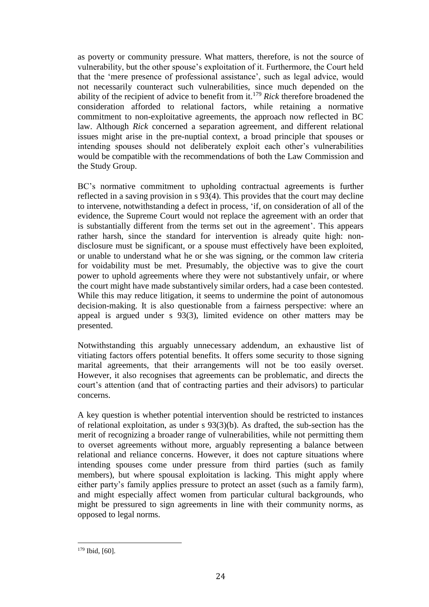as poverty or community pressure. What matters, therefore, is not the source of vulnerability, but the other spouse's exploitation of it. Furthermore, the Court held that the 'mere presence of professional assistance', such as legal advice, would not necessarily counteract such vulnerabilities, since much depended on the ability of the recipient of advice to benefit from it.<sup>179</sup> *Rick* therefore broadened the consideration afforded to relational factors, while retaining a normative commitment to non-exploitative agreements, the approach now reflected in BC law. Although *Rick* concerned a separation agreement, and different relational issues might arise in the pre-nuptial context, a broad principle that spouses or intending spouses should not deliberately exploit each other's vulnerabilities would be compatible with the recommendations of both the Law Commission and the Study Group.

BC's normative commitment to upholding contractual agreements is further reflected in a saving provision in s 93(4). This provides that the court may decline to intervene, notwithstanding a defect in process, 'if, on consideration of all of the evidence, the Supreme Court would not replace the agreement with an order that is substantially different from the terms set out in the agreement'. This appears rather harsh, since the standard for intervention is already quite high: nondisclosure must be significant, or a spouse must effectively have been exploited, or unable to understand what he or she was signing, or the common law criteria for voidability must be met. Presumably, the objective was to give the court power to uphold agreements where they were not substantively unfair, or where the court might have made substantively similar orders, had a case been contested. While this may reduce litigation, it seems to undermine the point of autonomous decision-making. It is also questionable from a fairness perspective: where an appeal is argued under s 93(3), limited evidence on other matters may be presented.

Notwithstanding this arguably unnecessary addendum, an exhaustive list of vitiating factors offers potential benefits. It offers some security to those signing marital agreements, that their arrangements will not be too easily overset. However, it also recognises that agreements can be problematic, and directs the court's attention (and that of contracting parties and their advisors) to particular concerns.

A key question is whether potential intervention should be restricted to instances of relational exploitation, as under s 93(3)(b). As drafted, the sub-section has the merit of recognizing a broader range of vulnerabilities, while not permitting them to overset agreements without more, arguably representing a balance between relational and reliance concerns. However, it does not capture situations where intending spouses come under pressure from third parties (such as family members), but where spousal exploitation is lacking. This might apply where either party's family applies pressure to protect an asset (such as a family farm), and might especially affect women from particular cultural backgrounds, who might be pressured to sign agreements in line with their community norms, as opposed to legal norms.

<sup>179</sup> Ibid, [60].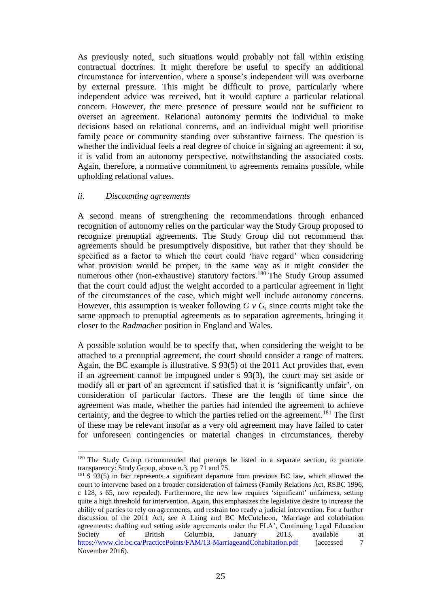As previously noted, such situations would probably not fall within existing contractual doctrines. It might therefore be useful to specify an additional circumstance for intervention, where a spouse's independent will was overborne by external pressure. This might be difficult to prove, particularly where independent advice was received, but it would capture a particular relational concern. However, the mere presence of pressure would not be sufficient to overset an agreement. Relational autonomy permits the individual to make decisions based on relational concerns, and an individual might well prioritise family peace or community standing over substantive fairness. The question is whether the individual feels a real degree of choice in signing an agreement: if so, it is valid from an autonomy perspective, notwithstanding the associated costs. Again, therefore, a normative commitment to agreements remains possible, while upholding relational values.

## *ii. Discounting agreements*

A second means of strengthening the recommendations through enhanced recognition of autonomy relies on the particular way the Study Group proposed to recognize prenuptial agreements. The Study Group did not recommend that agreements should be presumptively dispositive, but rather that they should be specified as a factor to which the court could 'have regard' when considering what provision would be proper, in the same way as it might consider the numerous other (non-exhaustive) statutory factors.<sup>180</sup> The Study Group assumed that the court could adjust the weight accorded to a particular agreement in light of the circumstances of the case, which might well include autonomy concerns. However, this assumption is weaker following *G v G*, since courts might take the same approach to prenuptial agreements as to separation agreements, bringing it closer to the *Radmacher* position in England and Wales.

A possible solution would be to specify that, when considering the weight to be attached to a prenuptial agreement, the court should consider a range of matters. Again, the BC example is illustrative. S 93(5) of the 2011 Act provides that, even if an agreement cannot be impugned under s 93(3), the court may set aside or modify all or part of an agreement if satisfied that it is 'significantly unfair', on consideration of particular factors. These are the length of time since the agreement was made, whether the parties had intended the agreement to achieve certainty, and the degree to which the parties relied on the agreement.<sup>181</sup> The first of these may be relevant insofar as a very old agreement may have failed to cater for unforeseen contingencies or material changes in circumstances, thereby

<span id="page-25-0"></span> $\overline{a}$ <sup>180</sup> The Study Group recommended that prenups be listed in a separate section, to promote transparency: Study Group, above n[.3,](#page-1-1) pp 71 and 75.

<sup>&</sup>lt;sup>181</sup> S 93(5) in fact represents a significant departure from previous BC law, which allowed the court to intervene based on a broader consideration of fairness (Family Relations Act, RSBC 1996, c 128, s 65, now repealed). Furthermore, the new law requires 'significant' unfairness, setting quite a high threshold for intervention. Again, this emphasizes the legislative desire to increase the ability of parties to rely on agreements, and restrain too ready a judicial intervention. For a further discussion of the 2011 Act, see A Laing and BC McCutcheon, 'Marriage and cohabitation agreements: drafting and setting aside agreements under the FLA', Continuing Legal Education Society of British Columbia, January 2013, available at <https://www.cle.bc.ca/PracticePoints/FAM/13-MarriageandCohabitation.pdf> (accessed 7 November 2016).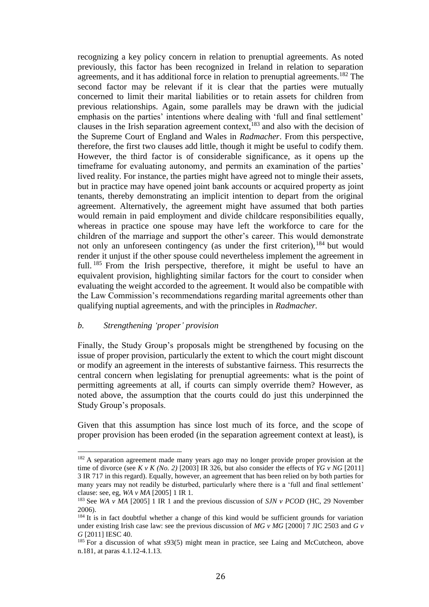recognizing a key policy concern in relation to prenuptial agreements. As noted previously, this factor has been recognized in Ireland in relation to separation agreements, and it has additional force in relation to prenuptial agreements.<sup>182</sup> The second factor may be relevant if it is clear that the parties were mutually concerned to limit their marital liabilities or to retain assets for children from previous relationships. Again, some parallels may be drawn with the judicial emphasis on the parties' intentions where dealing with 'full and final settlement' clauses in the Irish separation agreement context,<sup>183</sup> and also with the decision of the Supreme Court of England and Wales in *Radmacher*. From this perspective, therefore, the first two clauses add little, though it might be useful to codify them. However, the third factor is of considerable significance, as it opens up the timeframe for evaluating autonomy, and permits an examination of the parties' lived reality. For instance, the parties might have agreed not to mingle their assets, but in practice may have opened joint bank accounts or acquired property as joint tenants, thereby demonstrating an implicit intention to depart from the original agreement. Alternatively, the agreement might have assumed that both parties would remain in paid employment and divide childcare responsibilities equally, whereas in practice one spouse may have left the workforce to care for the children of the marriage and support the other's career. This would demonstrate not only an unforeseen contingency (as under the first criterion),  $184$  but would render it unjust if the other spouse could nevertheless implement the agreement in full. <sup>185</sup> From the Irish perspective, therefore, it might be useful to have an equivalent provision, highlighting similar factors for the court to consider when evaluating the weight accorded to the agreement. It would also be compatible with the Law Commission's recommendations regarding marital agreements other than qualifying nuptial agreements, and with the principles in *Radmacher.*

#### *b. Strengthening 'proper' provision*

 $\overline{a}$ 

Finally, the Study Group's proposals might be strengthened by focusing on the issue of proper provision, particularly the extent to which the court might discount or modify an agreement in the interests of substantive fairness. This resurrects the central concern when legislating for prenuptial agreements: what is the point of permitting agreements at all, if courts can simply override them? However, as noted above, the assumption that the courts could do just this underpinned the Study Group's proposals.

Given that this assumption has since lost much of its force, and the scope of proper provision has been eroded (in the separation agreement context at least), is

<sup>&</sup>lt;sup>182</sup> A separation agreement made many years ago may no longer provide proper provision at the time of divorce (see  $K v K (No. 2)$  [2003] IR 326, but also consider the effects of *YG*  $v NG$  [2011] 3 IR 717 in this regard). Equally, however, an agreement that has been relied on by both parties for many years may not readily be disturbed, particularly where there is a 'full and final settlement' clause: see, eg, *WA v MA* [2005] 1 IR 1.

<sup>183</sup> See *WA v MA* [2005] 1 IR 1 and the previous discussion of *SJN v PCOD* (HC, 29 November 2006).

<sup>&</sup>lt;sup>184</sup> It is in fact doubtful whether a change of this kind would be sufficient grounds for variation under existing Irish case law: see the previous discussion of *MG v MG* [2000] 7 JIC 2503 and *G v G* [2011] IESC 40.

<sup>&</sup>lt;sup>185</sup> For a discussion of what  $\frac{93(5)}{2}$  might mean in practice, see Laing and McCutcheon, above n[.181,](#page-25-0) at paras 4.1.12-4.1.13.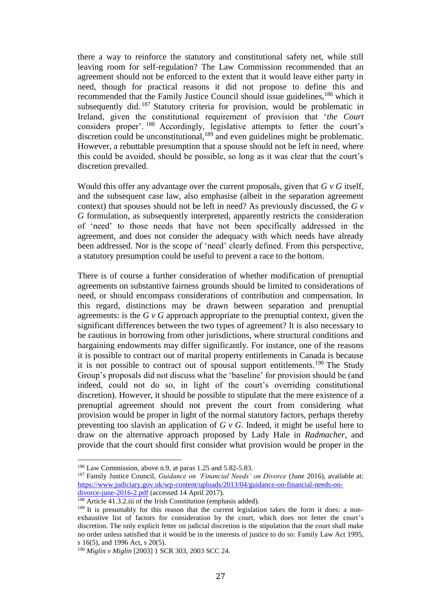there a way to reinforce the statutory and constitutional safety net, while still leaving room for self-regulation? The Law Commission recommended that an agreement should not be enforced to the extent that it would leave either party in need, though for practical reasons it did not propose to define this and recommended that the Family Justice Council should issue guidelines,<sup>186</sup> which it subsequently did. <sup>187</sup> Statutory criteria for provision, would be problematic in Ireland, given the constitutional requirement of provision that '*the Court*  considers proper'. <sup>188</sup> Accordingly, legislative attempts to fetter the court's discretion could be unconstitutional, $189$  and even guidelines might be problematic. However, a rebuttable presumption that a spouse should not be left in need, where this could be avoided, should be possible, so long as it was clear that the court's discretion prevailed.

Would this offer any advantage over the current proposals, given that *G v G* itself, and the subsequent case law, also emphasise (albeit in the separation agreement context) that spouses should not be left in need? As previously discussed, the *G v G* formulation, as subsequently interpreted, apparently restricts the consideration of 'need' to those needs that have not been specifically addressed in the agreement, and does not consider the adequacy with which needs have already been addressed. Nor is the scope of 'need' clearly defined. From this perspective, a statutory presumption could be useful to prevent a race to the bottom.

There is of course a further consideration of whether modification of prenuptial agreements on substantive fairness grounds should be limited to considerations of need, or should encompass considerations of contribution and compensation. In this regard, distinctions may be drawn between separation and prenuptial agreements: is the *G v G* approach appropriate to the prenuptial context, given the significant differences between the two types of agreement? It is also necessary to be cautious in borrowing from other jurisdictions, where structural conditions and bargaining endowments may differ significantly. For instance, one of the reasons it is possible to contract out of marital property entitlements in Canada is because it is not possible to contract out of spousal support entitlements.<sup>190</sup> The Study Group's proposals did not discuss what the 'baseline' for provision should be (and indeed, could not do so, in light of the court's overriding constitutional discretion). However, it should be possible to stipulate that the mere existence of a prenuptial agreement should not prevent the court from considering what provision would be proper in light of the normal statutory factors, perhaps thereby preventing too slavish an application of *G v G*. Indeed, it might be useful here to draw on the alternative approach proposed by Lady Hale in *Radmacher*, and provide that the court should first consider what provision would be proper in the

<sup>186</sup> Law Commission, above [n.9,](#page-1-2) at paras 1.25 and 5.82-5.83.

<sup>187</sup> Family Justice Council, *Guidance on 'Financial Needs' on Divorce* (June 2016), available at: [https://www.judiciary.gov.uk/wp-content/uploads/2013/04/guidance-on-financial-needs-on](https://www.judiciary.gov.uk/wp-content/uploads/2013/04/guidance-on-financial-needs-on-divorce-june-2016-2.pdf)[divorce-june-2016-2.pdf](https://www.judiciary.gov.uk/wp-content/uploads/2013/04/guidance-on-financial-needs-on-divorce-june-2016-2.pdf) (accessed 14 April 2017).

<sup>&</sup>lt;sup>188</sup> Article 41.3.2.iii of the Irish Constitution (emphasis added).

<sup>&</sup>lt;sup>189</sup> It is presumably for this reason that the current legislation takes the form it does: a nonexhaustive list of factors for consideration by the court, which does not fetter the court's discretion. The only explicit fetter on judicial discretion is the stipulation that the court shall make no order unless satisfied that it would be in the interests of justice to do so: Family Law Act 1995, s 16(5), and 1996 Act, s 20(5).

<sup>190</sup> *Miglin v Miglin* [2003] 1 SCR 303, 2003 SCC 24.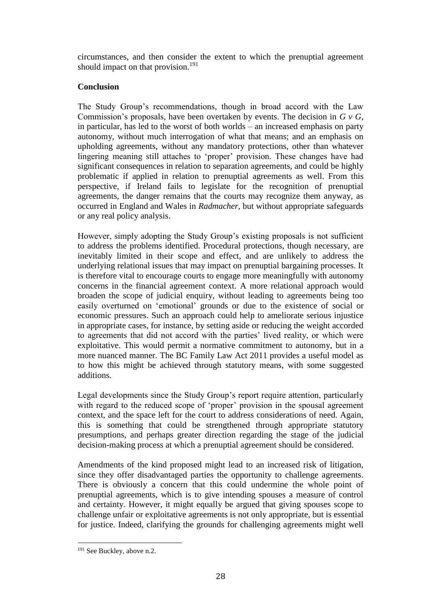circumstances, and then consider the extent to which the prenuptial agreement should impact on that provision.<sup>191</sup>

# **Conclusion**

The Study Group's recommendations, though in broad accord with the Law Commission's proposals, have been overtaken by events. The decision in *G v G*, in particular, has led to the worst of both worlds – an increased emphasis on party autonomy, without much interrogation of what that means; and an emphasis on upholding agreements, without any mandatory protections, other than whatever lingering meaning still attaches to 'proper' provision. These changes have had significant consequences in relation to separation agreements, and could be highly problematic if applied in relation to prenuptial agreements as well. From this perspective, if Ireland fails to legislate for the recognition of prenuptial agreements, the danger remains that the courts may recognize them anyway, as occurred in England and Wales in *Radmacher,* but without appropriate safeguards or any real policy analysis.

However, simply adopting the Study Group's existing proposals is not sufficient to address the problems identified. Procedural protections, though necessary, are inevitably limited in their scope and effect, and are unlikely to address the underlying relational issues that may impact on prenuptial bargaining processes. It is therefore vital to encourage courts to engage more meaningfully with autonomy concerns in the financial agreement context. A more relational approach would broaden the scope of judicial enquiry, without leading to agreements being too easily overturned on 'emotional' grounds or due to the existence of social or economic pressures. Such an approach could help to ameliorate serious injustice in appropriate cases, for instance, by setting aside or reducing the weight accorded to agreements that did not accord with the parties' lived reality, or which were exploitative. This would permit a normative commitment to autonomy, but in a more nuanced manner. The BC Family Law Act 2011 provides a useful model as to how this might be achieved through statutory means, with some suggested additions.

Legal developments since the Study Group's report require attention, particularly with regard to the reduced scope of 'proper' provision in the spousal agreement context, and the space left for the court to address considerations of need. Again, this is something that could be strengthened through appropriate statutory presumptions, and perhaps greater direction regarding the stage of the judicial decision-making process at which a prenuptial agreement should be considered.

Amendments of the kind proposed might lead to an increased risk of litigation, since they offer disadvantaged parties the opportunity to challenge agreements. There is obviously a concern that this could undermine the whole point of prenuptial agreements, which is to give intending spouses a measure of control and certainty. However, it might equally be argued that giving spouses scope to challenge unfair or exploitative agreements is not only appropriate, but is essential for justice. Indeed, clarifying the grounds for challenging agreements might well

<sup>&</sup>lt;sup>191</sup> See Buckley, above n[.2.](#page-1-0)